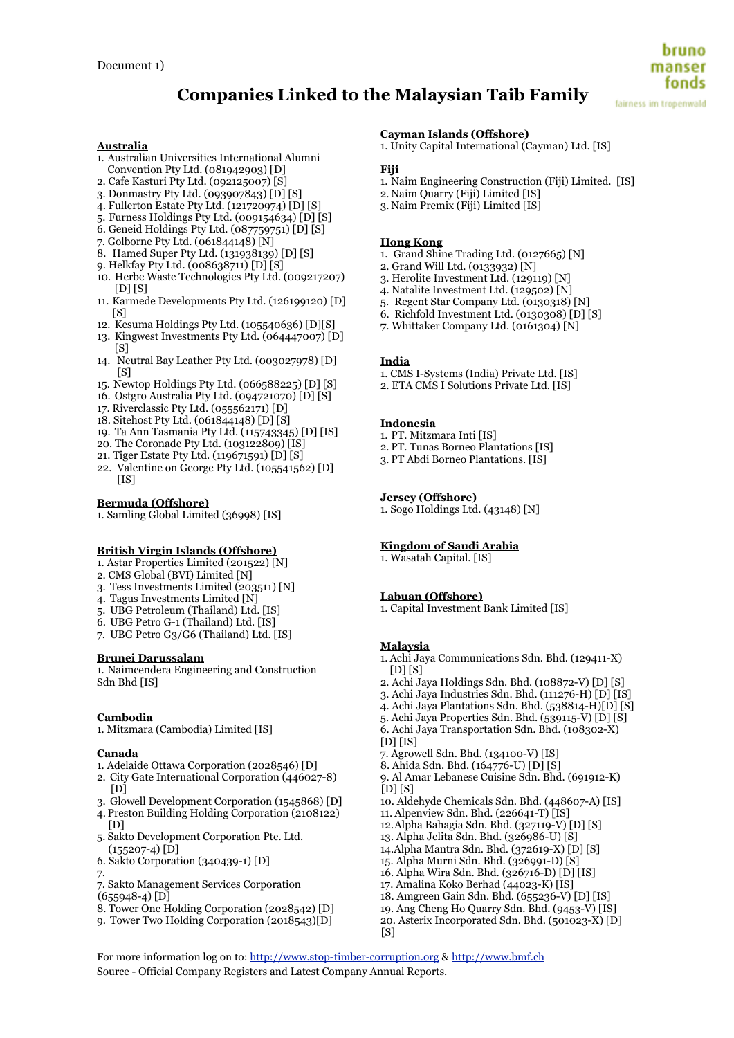fonds fairness im tropenwald

# **Australia**

- 1. Australian Universities International Alumni Convention Pty Ltd. (081942903) [D]
- 2. Cafe Kasturi Pty Ltd. (092125007) [S]
- 3. Donmastry Pty Ltd. (093907843) [D] [S]
- 4. Fullerton Estate Pty Ltd. (121720974) [D] [S]
- 5. Furness Holdings Pty Ltd. (009154634) [D] [S]
- 6. Geneid Holdings Pty Ltd. (087759751) [D] [S]
- 7. Golborne Pty Ltd. (061844148) [N]
- 8. Hamed Super Pty Ltd. (131938139) [D] [S]
- 9. Helkfay Pty Ltd. (008638711) [D] [S]
- 10. Herbe Waste Technologies Pty Ltd. (009217207) [D] [S]
- 11. Karmede Developments Pty Ltd. (126199120) [D] [S]
- 12. Kesuma Holdings Pty Ltd. (105540636) [D][S]
- 13. Kingwest Investments Pty Ltd. (064447007) [D]  $[<sub>S</sub>]$
- 14. Neutral Bay Leather Pty Ltd. (003027978) [D]  $[<sub>S</sub>]$
- 15. Newtop Holdings Pty Ltd. (066588225) [D] [S]
- 16. Ostgro Australia Pty Ltd. (094721070) [D] [S]
- 17. Riverclassic Pty Ltd. (055562171) [D]
- 18. Sitehost Pty Ltd. (061844148) [D] [S]
- 19. Ta Ann Tasmania Pty Ltd. (115743345) [D] [IS]
- 20. The Coronade Pty Ltd. (103122809) [IS]
- 21. Tiger Estate Pty Ltd. (119671591) [D] [S]
- 22. Valentine on George Pty Ltd. (105541562) [D] [IS]

## **Bermuda (Offshore)**

1. Samling Global Limited (36998) [IS]

# **British Virgin Islands (Offshore)**

- 1. Astar Properties Limited (201522) [N]
- 2. CMS Global (BVI) Limited [N]
- 3. Tess Investments Limited (203511) [N]
- 4. Tagus Investments Limited [N]
- 5. UBG Petroleum (Thailand) Ltd. [IS]
- 6. UBG Petro G-1 (Thailand) Ltd. [IS]
- 7. UBG Petro G3/G6 (Thailand) Ltd. [IS]

## **Brunei Darussalam**

1. Naimcendera Engineering and Construction Sdn Bhd [IS]

## **Cambodia**

1. Mitzmara (Cambodia) Limited [IS]

## **Canada**

- 1. Adelaide Ottawa Corporation (2028546) [D]
- 2. City Gate International Corporation (446027-8)  $[D]$
- 3. Glowell Development Corporation (1545868) [D]
- 4. Preston Building Holding Corporation (2108122) [D]
- 5. Sakto Development Corporation Pte. Ltd.  $(155207-4)$   $\overline{D}$ ]
- 6. Sakto Corporation (340439-1) [D]
- 7.
- 7. Sakto Management Services Corporation
- $(655948-4)$  [D]
- 8. Tower One Holding Corporation (2028542) [D]
- 9. Tower Two Holding Corporation (2018543)[D]

# **Cayman Islands (Offshore)**

1. Unity Capital International (Cayman) Ltd. [IS]

# **Fiji**

- 1. Naim Engineering Construction (Fiji) Limited. [IS]
- 2. Naim Quarry (Fiji) Limited [IS]
- 3. Naim Premix (Fiji) Limited [IS]

# **Hong Kong**

- 1. Grand Shine Trading Ltd. (0127665) [N]
- 2. Grand Will Ltd. (0133932) [N]
- 3. Herolite Investment Ltd. (129119) [N]
- 4. Natalite Investment Ltd. (129502) [N]
- 5. Regent Star Company Ltd. (0130318) [N]
- 6. Richfold Investment Ltd. (0130308) [D] [S]
- **7**. Whittaker Company Ltd. (0161304) [N]

## **India**

- 1. CMS I-Systems (India) Private Ltd. [IS]
- 2. ETA CMS I Solutions Private Ltd. [IS]

# **Indonesia**

- 1. PT. Mitzmara Inti [IS]
- 2. PT. Tunas Borneo Plantations [IS]
- 3. PT Abdi Borneo Plantations. [IS]

# **Jersey (Offshore)**

1. Sogo Holdings Ltd. (43148) [N]

# **Kingdom of Saudi Arabia**

1. Wasatah Capital. [IS]

# **Labuan (Offshore)**

1. Capital Investment Bank Limited [IS]

## **Malaysia**

 $\sqrt{S}$ 

For more information log on to: http://www.stop-timber-corruption.org & http://www.bmf.ch

Source - Official Company Registers and Latest Company Annual Reports.

- 1. Achi Jaya Communications Sdn. Bhd. (129411-X)  $[D]$  $[S]$
- 2. Achi Jaya Holdings Sdn. Bhd. (108872-V) [D] [S]
- 3. Achi Jaya Industries Sdn. Bhd. (111276-H) [D] [IS]
- 4. Achi Jaya Plantations Sdn. Bhd. (538814-H)[D] [S]
- 5. Achi Jaya Properties Sdn. Bhd. (539115-V) [D] [S]
- 6. Achi Jaya Transportation Sdn. Bhd. (108302-X)
- $[D]$   $[IS]$
- 7. Agrowell Sdn. Bhd. (134100-V) [IS]
- 8. Ahida Sdn. Bhd. (164776-U) [D] [S]
- 9. Al Amar Lebanese Cuisine Sdn. Bhd. (691912-K) [D] [S]
- 10. Aldehyde Chemicals Sdn. Bhd. (448607-A) [IS]
- 11. Alpenview Sdn. Bhd. (226641-T) [IS]
- 12.Alpha Bahagia Sdn. Bhd. (327119-V) [D] [S]
- 13. Alpha Jelita Sdn. Bhd. (326986-U) [S]
- 14.Alpha Mantra Sdn. Bhd. (372619-X) [D] [S]
- 15. Alpha Murni Sdn. Bhd. (326991-D) [S]
- 16. Alpha Wira Sdn. Bhd. (326716-D) [D] [IS] 17. Amalina Koko Berhad (44023-K) [IS]
- 18. Amgreen Gain Sdn. Bhd. (655236-V) [D] [IS]
- 
- 19. Ang Cheng Ho Quarry Sdn. Bhd. (9453-V) [IS] 20. Asterix Incorporated Sdn. Bhd. (501023-X) [D]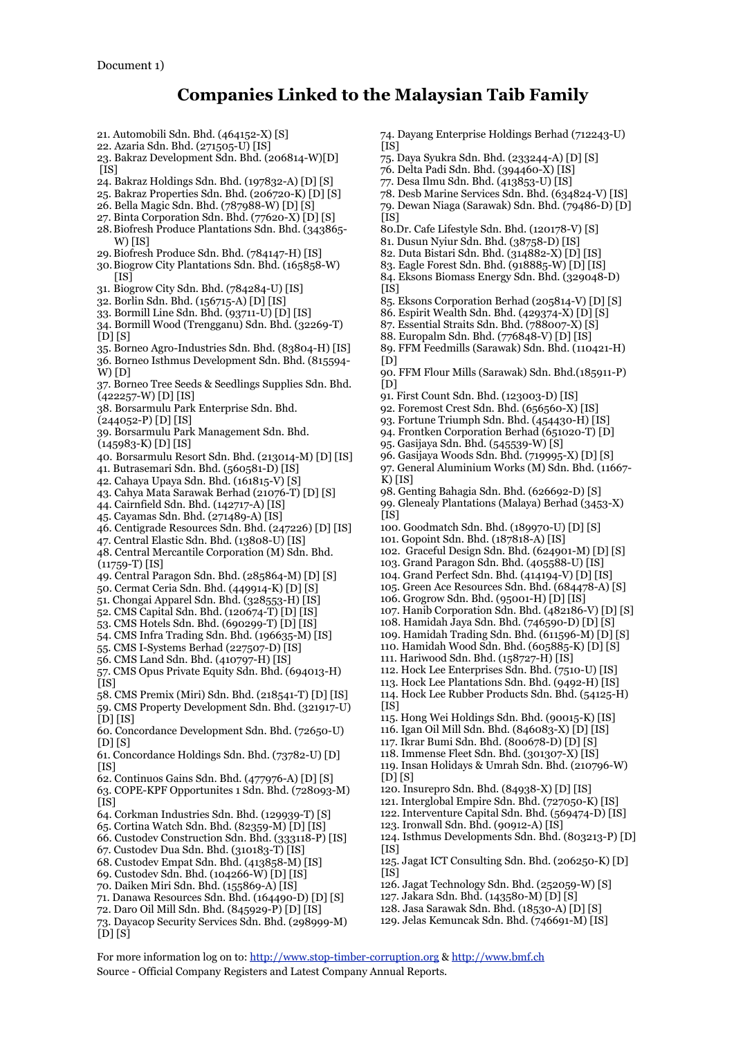- 21. Automobili Sdn. Bhd. (464152-X) [S] 22. Azaria Sdn. Bhd. (271505-U) [IS]
- 23. Bakraz Development Sdn. Bhd. (206814-W)[D]
- $\overline{I}$ IS]
- 24. Bakraz Holdings Sdn. Bhd. (197832-A) [D] [S]
- 25. Bakraz Properties Sdn. Bhd. (206720-K) [D] [S]
- 26. Bella Magic Sdn. Bhd. (787988-W) [D] [S]
- 27. Binta Corporation Sdn. Bhd. (77620-X) [D] [S]
- 28.Biofresh Produce Plantations Sdn. Bhd. (343865- W) [IS]
- 29.Biofresh Produce Sdn. Bhd. (784147-H) [IS]
- 30.Biogrow City Plantations Sdn. Bhd. (165858-W)  $[IS]$
- 31. Biogrow City Sdn. Bhd. (784284-U) [IS]
- 32. Borlin Sdn. Bhd. (156715-A) [D] [IS]
- 33. Bormill Line Sdn. Bhd. (93711-U) [D] [IS]
- 34. Bormill Wood (Trengganu) Sdn. Bhd. (32269-T)  $[D][S]$
- 35. Borneo Agro-Industries Sdn. Bhd. (83804-H) [IS]
- 36. Borneo Isthmus Development Sdn. Bhd. (815594- W) [D]
- 37. Borneo Tree Seeds & Seedlings Supplies Sdn. Bhd. (422257-W) [D] [IS]
- 38. Borsarmulu Park Enterprise Sdn. Bhd.
- (244052-P) [D] [IS]
- 39. Borsarmulu Park Management Sdn. Bhd.
- (145983-K) [D] [IS]
- 40. Borsarmulu Resort Sdn. Bhd. (213014-M) [D] [IS]
- 41. Butrasemari Sdn. Bhd. (560581-D) [IS]
- 42. Cahaya Upaya Sdn. Bhd. (161815-V) [S]
- 43. Cahya Mata Sarawak Berhad (21076-T) [D] [S]
- 44. Cairnfield Sdn. Bhd. (142717-A) [IS]
- 45. Cayamas Sdn. Bhd. (271489-A) [IS]
- 46. Centigrade Resources Sdn. Bhd. (247226) [D] [IS]
- 47. Central Elastic Sdn. Bhd. (13808-U) [IS]
- 48. Central Mercantile Corporation (M) Sdn. Bhd. (11759-T) [IS]
- 49. Central Paragon Sdn. Bhd. (285864-M) [D] [S]
- 50. Cermat Ceria Sdn. Bhd. (449914-K) [D] [S]
- 51. Chongai Apparel Sdn. Bhd. (328553-H) [IS]
- 52. CMS Capital Sdn. Bhd. (120674-T) [D] [IS]
- 53. CMS Hotels Sdn. Bhd. (690299-T) [D] [IS]
- 54. CMS Infra Trading Sdn. Bhd. (196635-M) [IS]
- 55. CMS I-Systems Berhad (227507-D) [IS]
- 56. CMS Land Sdn. Bhd. (410797-H) [IS]
- 57. CMS Opus Private Equity Sdn. Bhd. (694013-H)  $[IS]$
- 58. CMS Premix (Miri) Sdn. Bhd. (218541-T) [D] [IS]
- 59. CMS Property Development Sdn. Bhd. (321917-U) [D] [IS]
- 60. Concordance Development Sdn. Bhd. (72650-U) [D] [S]
- 61. Concordance Holdings Sdn. Bhd. (73782-U) [D]  $[$ IS]
- 62. Continuos Gains Sdn. Bhd. (477976-A) [D] [S]
- 63. COPE-KPF Opportunites 1 Sdn. Bhd. (728093-M) [IS]
- 64. Corkman Industries Sdn. Bhd. (129939-T) [S]
- 65. Cortina Watch Sdn. Bhd. (82359-M) [D] [IS]
- 66. Custodev Construction Sdn. Bhd. (333118-P) [IS]
- 67. Custodev Dua Sdn. Bhd. (310183-T) [IS]
- 68. Custodev Empat Sdn. Bhd. (413858-M) [IS]
- 
- 69. Custodev Sdn. Bhd. (104266-W) [D] [IS] 70. Daiken Miri Sdn. Bhd. (155869-A) [IS]
- 71. Danawa Resources Sdn. Bhd. (164490-D) [D] [S]
- 72. Daro Oil Mill Sdn. Bhd. (845929-P) [D] [IS]
- 73. Dayacop Security Services Sdn. Bhd. (298999-M)
- [D] [S]
- 74. Dayang Enterprise Holdings Berhad (712243-U)  $[$ IS] $]$
- 75. Daya Syukra Sdn. Bhd. (233244-A) [D] [S]
- 76. Delta Padi Sdn. Bhd. (394460-X) [IS]
- 77. Desa Ilmu Sdn. Bhd. (413853-U) [IS]
- 78. Desb Marine Services Sdn. Bhd. (634824-V) [IS]
- 79. Dewan Niaga (Sarawak) Sdn. Bhd. (79486-D) [D]
- $[$ IS]
- 80.Dr. Cafe Lifestyle Sdn. Bhd. (120178-V) [S]
- 81. Dusun Nyiur Sdn. Bhd. (38758-D) [IS]
- 82. Duta Bistari Sdn. Bhd. (314882-X) [D] [IS]
- 83. Eagle Forest Sdn. Bhd. (918885-W) [D] [IS] 84. Eksons Biomass Energy Sdn. Bhd. (329048-D)
- $[IS]$ 85. Eksons Corporation Berhad (205814-V) [D] [S]
- 
- 86. Espirit Wealth Sdn. Bhd. (429374-X) [D] [S]
- 87. Essential Straits Sdn. Bhd. (788007-X) [S]
- 88. Europalm Sdn. Bhd. (776848-V) [D] [IS]
- 89. FFM Feedmills (Sarawak) Sdn. Bhd. (110421-H)  $[D]$
- 90. FFM Flour Mills (Sarawak) Sdn. Bhd.(185911-P)  $[D]$
- 91. First Count Sdn. Bhd. (123003-D) [IS]
- 92. Foremost Crest Sdn. Bhd. (656560-X) [IS]
- 93. Fortune Triumph Sdn. Bhd. (454430-H) [IS]
- 94. Frontken Corporation Berhad (651020-T) [D]
- 95. Gasijaya Sdn. Bhd. (545539-W) [S]
- 96. Gasijaya Woods Sdn. Bhd. (719995-X) [D] [S]
- 97. General Aluminium Works (M) Sdn. Bhd. (11667-
- K) [IS]
- 98. Genting Bahagia Sdn. Bhd. (626692-D) [S]
- 99. Glenealy Plantations (Malaya) Berhad (3453-X)  $[$ IS]
- 100. Goodmatch Sdn. Bhd. (189970-U) [D] [S]
- 101. Gopoint Sdn. Bhd. (187818-A) [IS]
- 102. Graceful Design Sdn. Bhd. (624901-M) [D] [S]
- 103. Grand Paragon Sdn. Bhd. (405588-U) [IS]
- 104. Grand Perfect Sdn. Bhd. (414194-V) [D] [IS]
- 105. Green Ace Resources Sdn. Bhd. (684478-A) [S]
- 106. Grogrow Sdn. Bhd. (95001-H) [D] [IS]
- 107. Hanib Corporation Sdn. Bhd. (482186-V) [D] [S]
- 108. Hamidah Jaya Sdn. Bhd. (746590-D) [D] [S]
- 109. Hamidah Trading Sdn. Bhd. (611596-M) [D] [S]
- 110. Hamidah Wood Sdn. Bhd. (605885-K) [D] [S] 111. Hariwood Sdn. Bhd. (158727-H) [IS]
- 

 $[IS]$ 

[D] [S]

 $[$  $[$  $[$  $]$  $[$  $]$  $[$  $]$  $[$  $]$  $[$  $]$  $[$  $]$  $[$  $]$  $[$  $]$  $[$  $]$  $[$  $]$  $[$  $]$  $[$  $]$  $[$  $]$  $[$  $]$  $[$  $]$  $[$  $]$  $[$  $]$  $[$  $]$  $[$  $]$  $[$  $]$  $[$  $]$  $[$  $]$  $[$  $]$  $[$  $]$  $[$  $]$  $[$  $]$  $[$  $]$  $[$  $]$  $[$  $]$  $[$  $]$  $[$  $]$  $[$  $]$  $[$  $]$  $[$  $]$  $[$  $]$  $[$  $]$ 

 $[IS]$ 

For more information log on to: http://www.stop-timber-corruption.org & http://www.bmf.ch

Source - Official Company Registers and Latest Company Annual Reports.

- 112. Hock Lee Enterprises Sdn. Bhd. (7510-U) [IS] 113. Hock Lee Plantations Sdn. Bhd. (9492-H) [IS]
- 114. Hock Lee Rubber Products Sdn. Bhd. (54125-H)

115. Hong Wei Holdings Sdn. Bhd. (90015-K) [IS] 116. Igan Oil Mill Sdn. Bhd. (846083-X) [D] [IS] 117. Ikrar Bumi Sdn. Bhd. (800678-D) [D] [S] 118. Immense Fleet Sdn. Bhd. (301307-X) [IS] 119. Insan Holidays & Umrah Sdn. Bhd. (210796-W)

120. Insurepro Sdn. Bhd. (84938-X) [D] [IS] 121. Interglobal Empire Sdn. Bhd. (727050-K) [IS] 122. Interventure Capital Sdn. Bhd. (569474-D) [IS]

124. Isthmus Developments Sdn. Bhd. (803213-P) [D]

125. Jagat ICT Consulting Sdn. Bhd. (206250-K) [D]

126. Jagat Technology Sdn. Bhd. (252059-W) [S] 127. Jakara Sdn. Bhd. (143580-M) [D] [S] 128. Jasa Sarawak Sdn. Bhd. (18530-A) [D] [S] 129. Jelas Kemuncak Sdn. Bhd. (746691-M) [IS]

123. Ironwall Sdn. Bhd. (90912-A) [IS]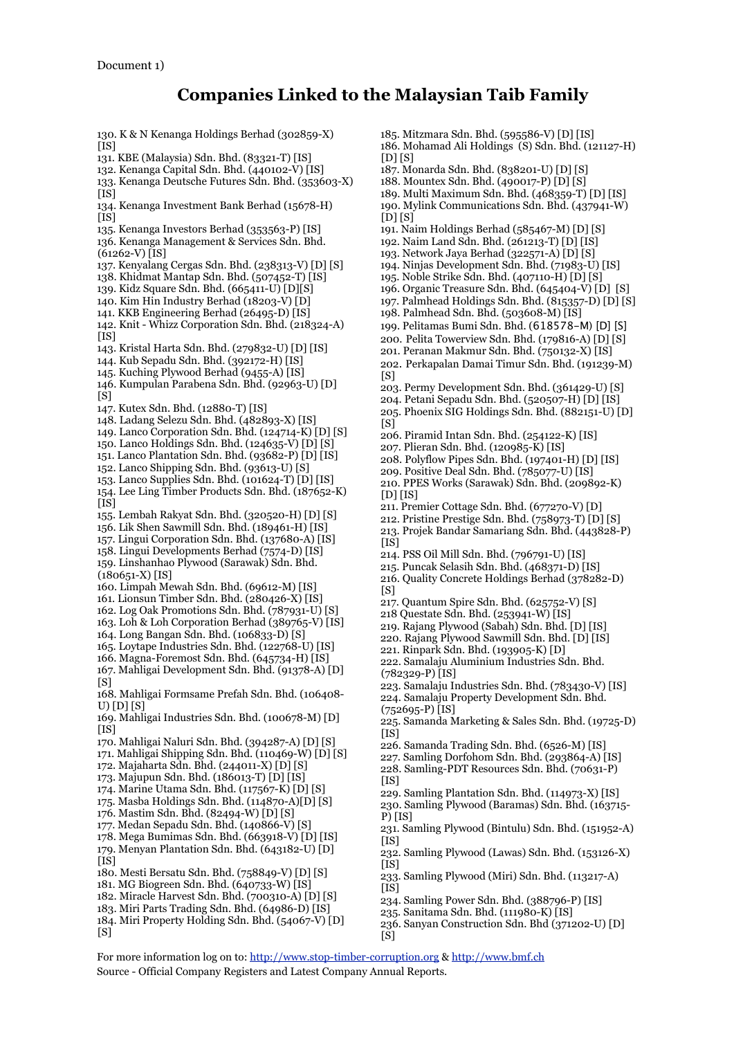130. K & N Kenanga Holdings Berhad (302859-X)  $[$ IS] 131. KBE (Malaysia) Sdn. Bhd. (83321-T) [IS] 132. Kenanga Capital Sdn. Bhd. (440102-V) [IS] 133. Kenanga Deutsche Futures Sdn. Bhd. (353603-X)  $[IS]$ 134. Kenanga Investment Bank Berhad (15678-H)  $[$ IS] 135. Kenanga Investors Berhad (353563-P) [IS] 136. Kenanga Management & Services Sdn. Bhd. (61262-V) [IS] 137. Kenyalang Cergas Sdn. Bhd. (238313-V) [D] [S] 138. Khidmat Mantap Sdn. Bhd. (507452-T) [IS] 139. Kidz Square Sdn. Bhd. (665411-U) [D][S] 140. Kim Hin Industry Berhad (18203-V) [D] 141. KKB Engineering Berhad (26495-D) [IS] 142. Knit - Whizz Corporation Sdn. Bhd. (218324-A)  $[IS]$ 143. Kristal Harta Sdn. Bhd. (279832-U) [D] [IS] 144. Kub Sepadu Sdn. Bhd. (392172-H) [IS] 145. Kuching Plywood Berhad (9455-A) [IS] 146. Kumpulan Parabena Sdn. Bhd. (92963-U) [D] [S] 147. Kutex Sdn. Bhd. (12880-T) [IS] 148. Ladang Selezu Sdn. Bhd. (482893-X) [IS] 149. Lanco Corporation Sdn. Bhd. (124714-K) [D] [S] 150. Lanco Holdings Sdn. Bhd. (124635-V) [D] [S] 151. Lanco Plantation Sdn. Bhd. (93682-P) [D] [IS] 152. Lanco Shipping Sdn. Bhd. (93613-U) [S] 153. Lanco Supplies Sdn. Bhd. (101624-T) [D] [IS] 154. Lee Ling Timber Products Sdn. Bhd. (187652-K) [IS] 155. Lembah Rakyat Sdn. Bhd. (320520-H) [D] [S] 156. Lik Shen Sawmill Sdn. Bhd. (189461-H) [IS] 157. Lingui Corporation Sdn. Bhd. (137680-A) [IS] 158. Lingui Developments Berhad (7574-D) [IS] 159. Linshanhao Plywood (Sarawak) Sdn. Bhd.  $(180651-X)$  [IS] 160. Limpah Mewah Sdn. Bhd. (69612-M) [IS] 161. Lionsun Timber Sdn. Bhd. (280426-X) [IS] 162. Log Oak Promotions Sdn. Bhd. (787931-U) [S] 163. Loh & Loh Corporation Berhad (389765-V) [IS] 164. Long Bangan Sdn. Bhd. (106833-D) [S] 165. Loytape Industries Sdn. Bhd. (122768-U) [IS] 166. Magna-Foremost Sdn. Bhd. (645734-H) [IS] 167. Mahligai Development Sdn. Bhd. (91378-A) [D]  $[<sub>S</sub>]$ 168. Mahligai Formsame Prefah Sdn. Bhd. (106408- U) [D] [S] 169. Mahligai Industries Sdn. Bhd. (100678-M) [D]  $[$ IS] 170. Mahligai Naluri Sdn. Bhd. (394287-A) [D] [S] 171. Mahligai Shipping Sdn. Bhd. (110469-W) [D] [S] 172. Majaharta Sdn. Bhd. (244011-X) [D] [S] 173. Majupun Sdn. Bhd. (186013-T) [D] [IS] 174. Marine Utama Sdn. Bhd. (117567-K) [D] [S] 175. Masba Holdings Sdn. Bhd. (114870-A)[D] [S] 176. Mastim Sdn. Bhd. (82494-W) [D] [S] 177. Medan Sepadu Sdn. Bhd. (140866-V) [S] 178. Mega Bumimas Sdn. Bhd. (663918-V) [D] [IS] 179. Menyan Plantation Sdn. Bhd. (643182-U) [D]  $[$ IS] $]$ 180. Mesti Bersatu Sdn. Bhd. (758849-V) [D] [S] 181. MG Biogreen Sdn. Bhd. (640733-W) [IS] 182. Miracle Harvest Sdn. Bhd. (700310-A) [D] [S] 183. Miri Parts Trading Sdn. Bhd. (64986-D) [IS] 184. Miri Property Holding Sdn. Bhd. (54067-V) [D] [S]  $[D]$  $[S]$ [D] [S]  $[S]$  $[S]$  $[D]$   $[IS]$  $[$ IS]  $[S]$ (782329-P) [IS] (752695-P) [IS]  $[$ IS]  $[IS]$ P) [IS]  $[IS]$  $[$ IS]  $[IS]$ [S]

185. Mitzmara Sdn. Bhd. (595586-V) [D] [IS] 186. Mohamad Ali Holdings (S) Sdn. Bhd. (121127-H) 187. Monarda Sdn. Bhd. (838201-U) [D] [S] 188. Mountex Sdn. Bhd. (490017-P) [D] [S] 189. Multi Maximum Sdn. Bhd. (468359-T) [D] [IS] 190. Mylink Communications Sdn. Bhd. (437941-W) 191. Naim Holdings Berhad (585467-M) [D] [S] 192. Naim Land Sdn. Bhd. (261213-T) [D] [IS] 193. Network Jaya Berhad (322571-A) [D] [S] 194. Ninjas Development Sdn. Bhd. (71983-U) [IS] 195. Noble Strike Sdn. Bhd. (407110-H) [D] [S] 196. Organic Treasure Sdn. Bhd. (645404-V) [D] [S] 197. Palmhead Holdings Sdn. Bhd. (815357-D) [D] [S] 198. Palmhead Sdn. Bhd. (503608-M) [IS] 199. Pelitamas Bumi Sdn. Bhd. (618578-M) [D] [S] 200. Pelita Towerview Sdn. Bhd. (179816-A) [D] [S] 201. Peranan Makmur Sdn. Bhd. (750132-X) [IS] 202. Perkapalan Damai Timur Sdn. Bhd. (191239-M) 203. Permy Development Sdn. Bhd. (361429-U) [S] 204. Petani Sepadu Sdn. Bhd. (520507-H) [D] [IS] 205. Phoenix SIG Holdings Sdn. Bhd. (882151-U) [D] 206. Piramid Intan Sdn. Bhd. (254122-K) [IS] 207. Plieran Sdn. Bhd. (120985-K) [IS] 208. Polyflow Pipes Sdn. Bhd. (197401-H) [D] [IS] 209. Positive Deal Sdn. Bhd. (785077-U) [IS] 210. PPES Works (Sarawak) Sdn. Bhd. (209892-K) 211. Premier Cottage Sdn. Bhd. (677270-V) [D] 212. Pristine Prestige Sdn. Bhd. (758973-T) [D] [S] 213. Projek Bandar Samariang Sdn. Bhd. (443828-P) 214. PSS Oil Mill Sdn. Bhd. (796791-U) [IS] 215. Puncak Selasih Sdn. Bhd. (468371-D) [IS] 216. Quality Concrete Holdings Berhad (378282-D) 217. Quantum Spire Sdn. Bhd. (625752-V) [S] 218 Questate Sdn. Bhd. (253941-W) [IS] 219. Rajang Plywood (Sabah) Sdn. Bhd. [D] [IS] 220. Rajang Plywood Sawmill Sdn. Bhd. [D] [IS] 221. Rinpark Sdn. Bhd. (193905-K) [D] 222. Samalaju Aluminium Industries Sdn. Bhd. 223. Samalaju Industries Sdn. Bhd. (783430-V) [IS] 224. Samalaju Property Development Sdn. Bhd. 225. Samanda Marketing & Sales Sdn. Bhd. (19725-D) 226. Samanda Trading Sdn. Bhd. (6526-M) [IS] 227. Samling Dorfohom Sdn. Bhd. (293864-A) [IS] 228. Samling-PDT Resources Sdn. Bhd. (70631-P) 229. Samling Plantation Sdn. Bhd. (114973-X) [IS] 230. Samling Plywood (Baramas) Sdn. Bhd. (163715- 231. Samling Plywood (Bintulu) Sdn. Bhd. (151952-A) 232. Samling Plywood (Lawas) Sdn. Bhd. (153126-X) 233. Samling Plywood (Miri) Sdn. Bhd. (113217-A) 234. Samling Power Sdn. Bhd. (388796-P) [IS] 235. Sanitama Sdn. Bhd. (111980-K) [IS]

236. Sanyan Construction Sdn. Bhd (371202-U) [D]

For more information log on to: http://www.stop-timber-corruption.org & http://www.bmf.ch Source - Official Company Registers and Latest Company Annual Reports.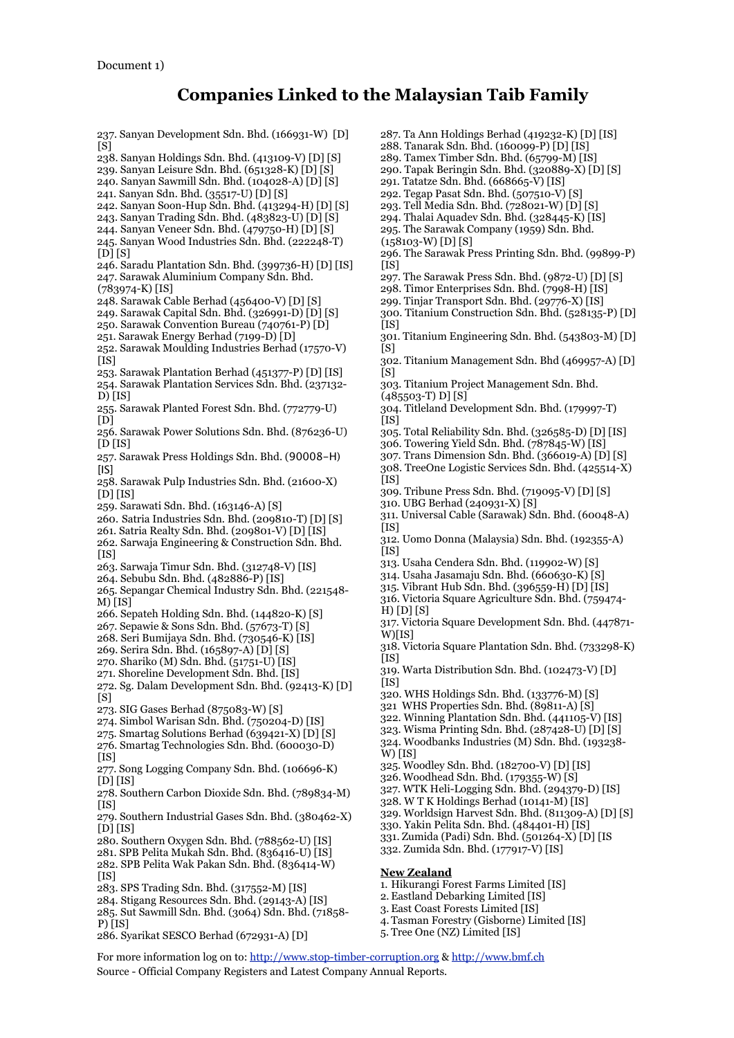237. Sanyan Development Sdn. Bhd. (166931-W) [D]  $\overline{S}$ ] 238. Sanyan Holdings Sdn. Bhd. (413109-V) [D] [S] 239. Sanyan Leisure Sdn. Bhd. (651328-K) [D] [S] 240. Sanyan Sawmill Sdn. Bhd. (104028-A) [D] [S] 241. Sanyan Sdn. Bhd. (35517-U) [D] [S] 242. Sanyan Soon-Hup Sdn. Bhd. (413294-H) [D] [S] 243. Sanyan Trading Sdn. Bhd. (483823-U) [D] [S] 244. Sanyan Veneer Sdn. Bhd. (479750-H) [D] [S] 245. Sanyan Wood Industries Sdn. Bhd. (222248-T)  $[D]$  $[S]$ 246. Saradu Plantation Sdn. Bhd. (399736-H) [D] [IS] 247. Sarawak Aluminium Company Sdn. Bhd. (783974-K) [IS] 248. Sarawak Cable Berhad (456400-V) [D] [S] 249. Sarawak Capital Sdn. Bhd. (326991-D) [D] [S] 250. Sarawak Convention Bureau (740761-P) [D] 251. Sarawak Energy Berhad (7199-D) [D] 252. Sarawak Moulding Industries Berhad (17570-V)  $[IS]$ 253. Sarawak Plantation Berhad (451377-P) [D] [IS] 254. Sarawak Plantation Services Sdn. Bhd. (237132- D) [IS] 255. Sarawak Planted Forest Sdn. Bhd. (772779-U)  $[D]$ 256. Sarawak Power Solutions Sdn. Bhd. (876236-U) [D [IS] 257. Sarawak Press Holdings Sdn. Bhd. (90008-H) [IS] 258. Sarawak Pulp Industries Sdn. Bhd. (21600-X)  $[D]$  $[IS]$ 259. Sarawati Sdn. Bhd. (163146-A) [S] 260. Satria Industries Sdn. Bhd. (209810-T) [D] [S] 261. Satria Realty Sdn. Bhd. (209801-V) [D] [IS] 262. Sarwaja Engineering & Construction Sdn. Bhd. [IS] 263. Sarwaja Timur Sdn. Bhd. (312748-V) [IS] 264. Sebubu Sdn. Bhd. (482886-P) [IS] 265. Sepangar Chemical Industry Sdn. Bhd. (221548- M) [IS] 266. Sepateh Holding Sdn. Bhd. (144820-K) [S] 267. Sepawie & Sons Sdn. Bhd. (57673-T) [S] 268. Seri Bumijaya Sdn. Bhd. (730546-K) [IS] 269. Serira Sdn. Bhd. (165897-A) [D] [S] 270. Shariko (M) Sdn. Bhd. (51751-U) [IS] 271. Shoreline Development Sdn. Bhd. [IS] 272. Sg. Dalam Development Sdn. Bhd. (92413-K) [D]  $[S]$ 273. SIG Gases Berhad (875083-W) [S] 274. Simbol Warisan Sdn. Bhd. (750204-D) [IS] 275. Smartag Solutions Berhad  $(639421-X)$  [D] [S] 276. Smartag Technologies Sdn. Bhd. (600030-D) [IS] 277. Song Logging Company Sdn. Bhd. (106696-K) 278. Southern Carbon Dioxide Sdn. Bhd. (789834-M) 279. Southern Industrial Gases Sdn. Bhd. (380462-X) 280. Southern Oxygen Sdn. Bhd. (788562-U) [IS] 281. SPB Pelita Mukah Sdn. Bhd. (836416-U) [IS] 282. SPB Pelita Wak Pakan Sdn. Bhd. (836414-W) 283. SPS Trading Sdn. Bhd. (317552-M) [IS] 284. Stigang Resources Sdn. Bhd. (29143-A) [IS] [IS]

286. Syarikat SESCO Berhad (672931-A) [D]

287. Ta Ann Holdings Berhad (419232-K) [D] [IS]

- 288. Tanarak Sdn. Bhd. (160099-P) [D] [IS]
- 289. Tamex Timber Sdn. Bhd. (65799-M) [IS]
- 290. Tapak Beringin Sdn. Bhd. (320889-X) [D] [S]
- 291. Tatatze Sdn. Bhd. (668665-V) [IS]
- 292. Tegap Pasat Sdn. Bhd. (507510-V) [S]
- 293. Tell Media Sdn. Bhd. (728021-W) [D] [S]
- 294. Thalai Aquadev Sdn. Bhd. (328445-K) [IS]
- 295. The Sarawak Company (1959) Sdn. Bhd.
- (158103-W) [D] [S]
- 296. The Sarawak Press Printing Sdn. Bhd. (99899-P)  $[IS]$
- 297. The Sarawak Press Sdn. Bhd. (9872-U) [D] [S]
- 298. Timor Enterprises Sdn. Bhd. (7998-H) [IS]
- 299. Tinjar Transport Sdn. Bhd. (29776-X) [IS]
- 300. Titanium Construction Sdn. Bhd. (528135-P) [D]  $[$ IS]
- 301. Titanium Engineering Sdn. Bhd. (543803-M) [D]  $[<sub>S</sub>]$
- 302. Titanium Management Sdn. Bhd (469957-A) [D]  $[<sub>S</sub>]$
- 303. Titanium Project Management Sdn. Bhd.
- (485503-T) D] [S]
- 304. Titleland Development Sdn. Bhd. (179997-T)  $[IS]$
- 305. Total Reliability Sdn. Bhd. (326585-D) [D] [IS]
- 306. Towering Yield Sdn. Bhd. (787845-W) [IS]
- 307. Trans Dimension Sdn. Bhd. (366019-A) [D] [S]
- 308. TreeOne Logistic Services Sdn. Bhd. (425514-X)
- 309. Tribune Press Sdn. Bhd. (719095-V) [D] [S]
- 310. UBG Berhad (240931-X) [S]
- 311. Universal Cable (Sarawak) Sdn. Bhd. (60048-A)
- [IS]
- 312. Uomo Donna (Malaysia) Sdn. Bhd. (192355-A)  $[ISS]$
- 313. Usaha Cendera Sdn. Bhd. (119902-W) [S]
- 314. Usaha Jasamaju Sdn. Bhd. (660630-K) [S]
- 315. Vibrant Hub Sdn. Bhd. (396559-H) [D] [IS]
- 316. Victoria Square Agriculture Sdn. Bhd. (759474- H) [D] [S]
- 317. Victoria Square Development Sdn. Bhd. (447871- W)[IS]
- 318. Victoria Square Plantation Sdn. Bhd. (733298-K)  $[IS]$
- 319. Warta Distribution Sdn. Bhd. (102473-V) [D]  $[IS]$
- 320. WHS Holdings Sdn. Bhd. (133776-M) [S]
- 321 WHS Properties Sdn. Bhd. (89811-A) [S]
- 322. Winning Plantation Sdn. Bhd. (441105-V) [IS]
- 323. Wisma Printing Sdn. Bhd. (287428-U) [D] [S]
- 324. Woodbanks Industries (M) Sdn. Bhd. (193238- W) [IS]
- 325. Woodley Sdn. Bhd. (182700-V) [D] [IS]
- 326. Woodhead Sdn. Bhd. (179355-W) [S]
- 327. WTK Heli-Logging Sdn. Bhd. (294379-D) [IS]
- 328. W T K Holdings Berhad (10141-M) [IS]
- 329. Worldsign Harvest Sdn. Bhd. (811309-A) [D] [S]
- 330. Yakin Pelita Sdn. Bhd. (484401-H) [IS]
- 331. Zumida (Padi) Sdn. Bhd. (501264-X) [D] [IS
- 332. Zumida Sdn. Bhd. (177917-V) [IS]

## **New Zealand**

- 1. Hikurangi Forest Farms Limited [IS]
- 2. Eastland Debarking Limited [IS]
- 3. East Coast Forests Limited [IS]
- 
- 

For more information log on to: http://www.stop-timber-corruption.org & http://www.bmf.ch Source - Official Company Registers and Latest Company Annual Reports.

- [D] [IS]
- [IS]
- 
- 
- 
- $[$ IS]
- 
- [D] [IS]
- 
- 
- 
- 
- 
- 
- 
- 
- -
- 285. Sut Sawmill Sdn. Bhd. (3064) Sdn. Bhd. (71858- P) [IS]
	-
- 
- 
- 4. Tasman Forestry (Gisborne) Limited [IS]
- 5. Tree One (NZ) Limited [IS]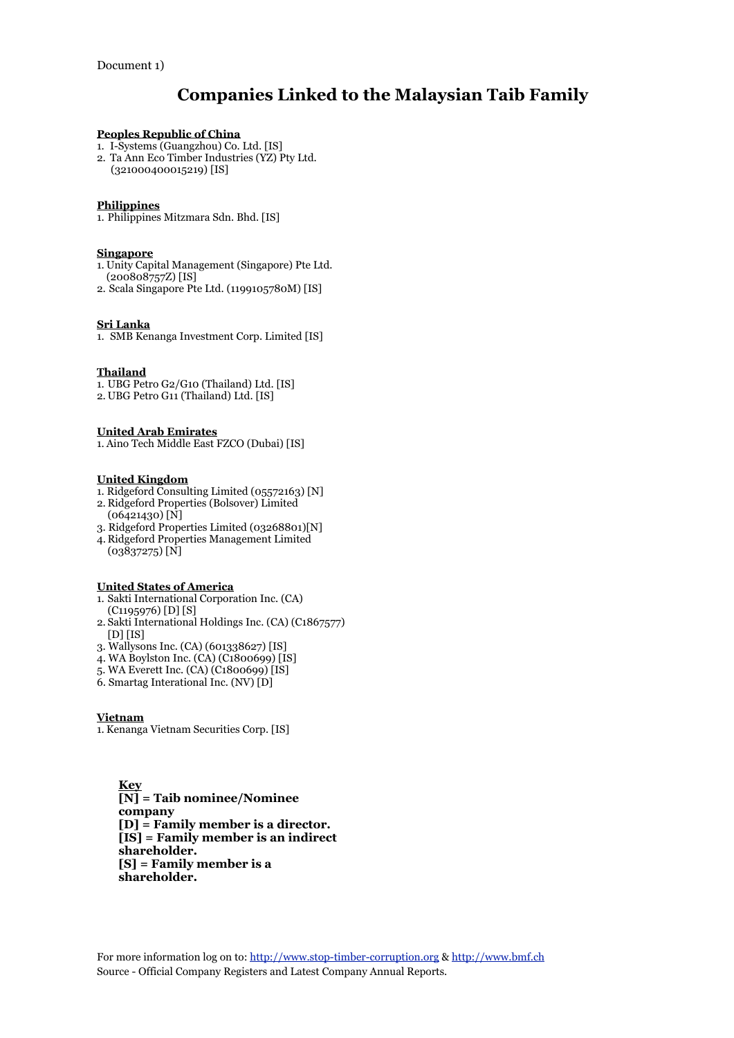# **Peoples Republic of China**

- 1. I-Systems (Guangzhou) Co. Ltd. [IS]
- 2. Ta Ann Eco Timber Industries (YZ) Pty Ltd.
	- (321000400015219) [IS]

# **Philippines**

1. Philippines Mitzmara Sdn. Bhd. [IS]

## **Singapore**

- 1. Unity Capital Management (Singapore) Pte Ltd. (200808757Z) [IS]
- 2. Scala Singapore Pte Ltd. (1199105780M) [IS]

# **Sri Lanka**

1. SMB Kenanga Investment Corp. Limited [IS]

# **Thailand**

- 1. UBG Petro G2/G10 (Thailand) Ltd. [IS]
- 2. UBG Petro G11 (Thailand) Ltd. [IS]

# **United Arab Emirates**

1. Aino Tech Middle East FZCO (Dubai) [IS]

## **United Kingdom**

- 1. Ridgeford Consulting Limited (05572163) [N]
- 2. Ridgeford Properties (Bolsover) Limited (06421430) [N]
- 3. Ridgeford Properties Limited (03268801)[N]
- 4. Ridgeford Properties Management Limited  $(03837275)$  [N]

## **United States of America**

- 1. Sakti International Corporation Inc. (CA)
- (C1195976) [D] [S] 2. Sakti International Holdings Inc. (CA) (C1867577) [D] [IS]
- 3. Wallysons Inc. (CA) (601338627) [IS]
- 4. WA Boylston Inc. (CA) (C1800699) [IS]
- 5. WA Everett Inc. (CA) (C1800699) [IS]
- 6. Smartag Interational Inc. (NV) [D]

# **Vietnam**

1. Kenanga Vietnam Securities Corp. [IS]

**Key [N] = Taib nominee/Nominee company [D] = Family member is a director. [IS] = Family member is an indirect shareholder. [S] = Family member is a shareholder.**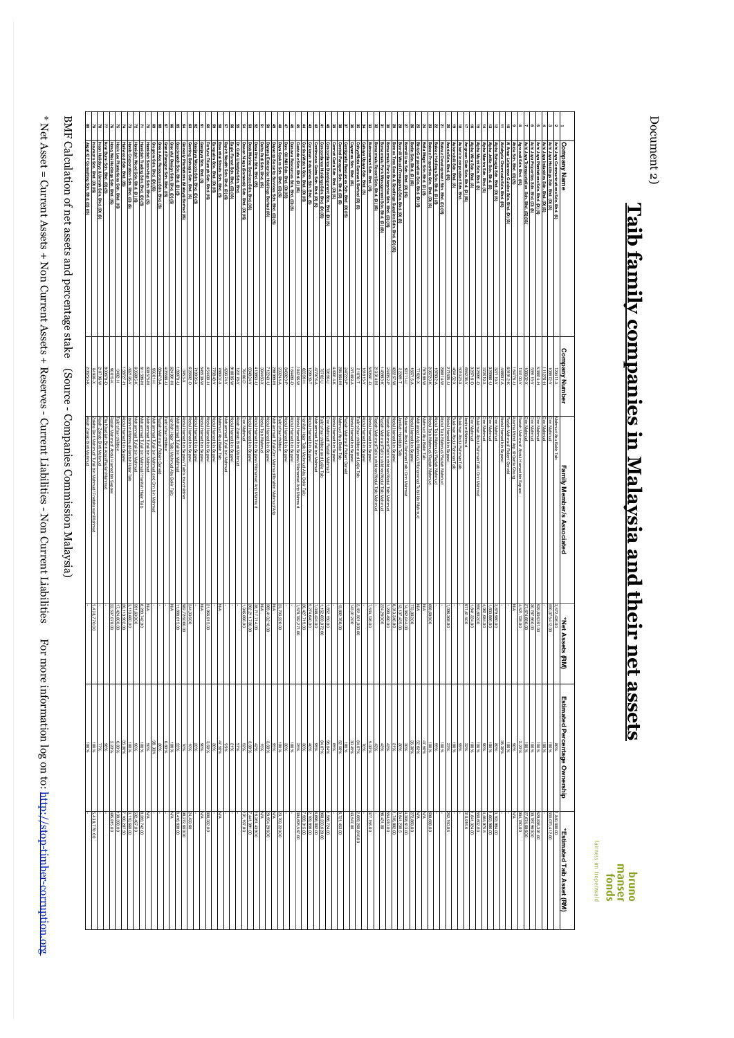| i                                                                                                                                                                                                                                                                            |
|------------------------------------------------------------------------------------------------------------------------------------------------------------------------------------------------------------------------------------------------------------------------------|
|                                                                                                                                                                                                                                                                              |
| ١                                                                                                                                                                                                                                                                            |
| $\sim$ 1986 = Cliffell ASSets + NUL Cliffell Assets + Reserve - Cliffell ASSets + RUL Cliffell ASSets + RUL Cliffell Assets + RUL Cliffell Assets + RUL Cliffell Assets + RUL Cliffell Assets + RUL Cliffell Assets + RUL Cliff<br>֧֖֧֚֚֚֚֓֓֓֓֓ <b>֓</b><br>5<br>ì<br>J<br>ì |
| J                                                                                                                                                                                                                                                                            |
| ۱                                                                                                                                                                                                                                                                            |
| ֧֖֧֚֚֚֚֓֓֓֓֓ <b>֓</b><br>١<br>֧֧֧֧֧֧֧֧֧֧֧֧֧֧֧֧֧֧֧֚֚֚֚֚֚֬֝֬֓֓֕֓֓֕֓֓֝֬֓֝֬֝֬֓֝֬֝֓֟֓֟֓֓֝֬֝֬֓֝֬֝֬֝֬֝֬֝֬֝֬֝֬֝֬֝֬֬֬֝֬֝֬֝֬                                                                                                                                                           |
| $\frac{1}{2}$<br>马<br>į<br>l<br>l                                                                                                                                                                                                                                            |
| l                                                                                                                                                                                                                                                                            |
|                                                                                                                                                                                                                                                                              |
| ı<br>I                                                                                                                                                                                                                                                                       |
| í                                                                                                                                                                                                                                                                            |

BMF Calculation of net assets and percentage stake (Source - Companies Commission Malaysia) BMF Calculation of net assets and percentage stake (Source - Companies Commission Malaysia)

| Company Name                                                                                                                                                                                                         | <b>Company Number</b>                                                               | Family Member/s Associated                                                                                                  | *Net Assets (F<br>₿                                                                                                 | Estimated Percentage Ownership | *Estimated Taib Asset (RM)                                                               |
|----------------------------------------------------------------------------------------------------------------------------------------------------------------------------------------------------------------------|-------------------------------------------------------------------------------------|-----------------------------------------------------------------------------------------------------------------------------|---------------------------------------------------------------------------------------------------------------------|--------------------------------|------------------------------------------------------------------------------------------|
|                                                                                                                                                                                                                      | $-248801$                                                                           |                                                                                                                             | 3,572,426.00<br>550,075,412.00                                                                                      |                                | 1,840,000.00                                                                             |
| Achi Jaya Communications Sdn. Bhd. (S)<br>Achi Jaya Holdings Sdn. Bhd. (D) (S)<br>Achi Jaya Industries Sdn. Bhd. (D) (S)                                                                                             | H-92211                                                                             | Mahmud Abu Bekir Taib<br>Onn Mahmud<br>Onn Mahmud                                                                           |                                                                                                                     |                                |                                                                                          |
| chi Jaya Plantations Sdn. Bhd. (D) (S)                                                                                                                                                                               | H-1882                                                                              | <b>Dinn Mahmud</b>                                                                                                          | 529,836,391.00                                                                                                      |                                | 29,836,391.00                                                                            |
| Achi Jaya Properties Sdn. Bhd. (D) (S)<br>Achi Jaya Transportation Sdn. Bhd. (D) (IS)<br>Agrowell Sdn. Bhd. (IS)                                                                                                     |                                                                                     | <b>Jnn Mahmud</b><br><b>Inn Mahmud</b>                                                                                      | $\begin{array}{ l l } \hline 30,787,987,00 \\ \hline 27,674,686,00 \\ \hline 4,521,728,00 \\ \hline \end{array}$    |                                | 30.787.980.00<br>27.674.986.00<br>994.780.00                                             |
|                                                                                                                                                                                                                      | 59115-1<br>19778-1<br>1978-1<br>1978-1                                              | Raziah Mahmud/ Abdul Hemed bin Sepawi<br>Azerina Mohd Arip @ Gerfe Chang                                                    | Š                                                                                                                   | $\frac{1}{2}$                  | ß                                                                                        |
| Iã<br>hida Sdn. Bhd. (D) (S)<br>I Amar Lebanese Cuisine Sdn. Bhd. (D) (S)                                                                                                                                            |                                                                                     | Raziah Mahmud/ Robert Geneid                                                                                                |                                                                                                                     |                                |                                                                                          |
| E<br>Idehyde Chemicals Sdn. Bhd. (IS)                                                                                                                                                                                | 448607-A                                                                            | Abdul Hamed bin Sepawi                                                                                                      |                                                                                                                     | 35.30%                         |                                                                                          |
| lipha Bahagia Sdn. Bhd. (D) (S)                                                                                                                                                                                      |                                                                                     | Dun Mahmud                                                                                                                  |                                                                                                                     |                                |                                                                                          |
| 히히히<br>Npha Jelita Sdn. Bhd. (S)<br>Npha Mantra Sdn. Bhd. (S)                                                                                                                                                        | $\begin{array}{r} 327119 - V \\ 328986 - V \\ 372619 - X \\ 329991 - D \end{array}$ | <b>Inn Mahmud</b><br>nn Mahmud                                                                                              | 1,879,980.00<br>1,803,986.00<br>4,961,084.00                                                                        |                                |                                                                                          |
| lpha Mumi Sdn. Bhd. (S)                                                                                                                                                                                              |                                                                                     | ulaiman Abdul Rahman Taib/ Onn Mahmud                                                                                       | 550,602.00                                                                                                          |                                | $\begin{array}{r}\n 3.103.984.00 \\  +4.464.975.5 \\  \hline\n 550.602.00\n \end{array}$ |
| ∣ã<br>Alpha Wira Sdn. Bhd. (S)                                                                                                                                                                                       | 326716-D                                                                            | burntahrmud                                                                                                                 | 841,324.00                                                                                                          |                                | 841,324.00                                                                               |
| $ z $ $ z z z z $<br>  Amgreen Gain Sch. Bhd. (D) (IS)<br>  Asterix Incorporated Sch. Bhd.<br>  Automobili Sch. Bhd. (S)<br>  Azaria Sch. Bhd. (IS)                                                                  | 65528- Y<br>464152- X<br>464152- X<br>208814-W                                      | brahim Mahmud<br>ulaman Abdul Rahman Taib                                                                                   | 971,614.00                                                                                                          |                                | 310,916.5                                                                                |
|                                                                                                                                                                                                                      |                                                                                     | Sulaiman Abdul Rahman Taib<br>Abdul Hamed bin Sepawi                                                                        |                                                                                                                     |                                |                                                                                          |
| kraz Development Sdn. Bhd. (D) (IS)                                                                                                                                                                                  |                                                                                     | Abdul Taib Mahmud/ Raziah Mahmud                                                                                            | 00 80 6.960                                                                                                         |                                | <b>R</b><br>150.85                                                                       |
| skraz Holdings Sdn. Bhd. (D) (S)                                                                                                                                                                                     | 97832-A                                                                             | Abdul Taib Mahmud/ Raziah Mahmud                                                                                            |                                                                                                                     |                                |                                                                                          |
| <b>Bakraz Properties Sdn. Bhd. (D) (S)</b>                                                                                                                                                                           |                                                                                     | Abdul Taib Mahmud/ Raziah Mahmud                                                                                            | 698,688.00                                                                                                          |                                | 598,688.00                                                                               |
| Bella Magic Sdn. Bhd. (D) (S)<br>Binta Corporation Sdn. Bhd. (D) (S)                                                                                                                                                 | 206720-K<br>78788-W<br>77820-X                                                      | ahmud Abu Bekir Taib                                                                                                        |                                                                                                                     |                                | $\frac{NNA}{272,869.00}$                                                                 |
| Borlin Sdn. Bhd. (D) (IS)                                                                                                                                                                                            |                                                                                     | Mohamad Arip Mahmud/ Mohammad Tufail bin Mahmud<br>Abdul Hamed bin Separi                                                   | 773,002.00                                                                                                          |                                |                                                                                          |
| ormill Line Sdn. Bhd. (D) (IS)                                                                                                                                                                                       | 0-11/88                                                                             | ilaiman Abdul Rahman Taib/ Onn Mahmud                                                                                       | 14,362,044.00                                                                                                       |                                | 1,308,613.00                                                                             |
|                                                                                                                                                                                                                      | 32283-TW                                                                            | amilah Hamidah Taib                                                                                                         |                                                                                                                     |                                |                                                                                          |
| Bornill Wood (Trengganu) Sch. Blvd. (Blvd. (B) Sh.<br>Bornill Mood (Trengganu) Sch. Blvd. (B) Sh. Blvd. (D) (IS)<br>Borsermule Park Enterprise Sch. Blvd. (D) (IS)<br>Borsermule Park Mansgement Sch. Blvd. (D) (IS) | 244052-P<br>145983-K                                                                | Raziah Mahmud/Taib's children/Abdul Taib Mahmud<br>Raziah Mahmud/Taib's children/Abdul Taib Mahmud<br>boul Hamed bin Sepawi | $\begin{array}{ l l } \hline & 13.137.435.00 \\ \hline & 1.290.490.00 \\ \hline & 224.260.00 \\ \hline \end{array}$ |                                | $\begin{array}{r} 3.941, 230.5 \\ 1.745, 802.00 \\ 554, 910.00 \\ \end{array}$           |
| Borsarmulu Resort Sdn. Bhd. (D) (IS)                                                                                                                                                                                 |                                                                                     |                                                                                                                             |                                                                                                                     |                                |                                                                                          |
| trasemari Sdn. Bhd. (IS)                                                                                                                                                                                             | $-18909$<br>13014-M                                                                 | lbdul Hamed bin Sepawi<br>taziah Mahmud/Taib's children/Abdul Taib Mahmud                                                   | 534,126.00                                                                                                          |                                | 377, 156.00                                                                              |
| ahaya Upaya Sdn. Bhd. (S)                                                                                                                                                                                            |                                                                                     | Abdul Hamed bin Sepawi                                                                                                      |                                                                                                                     |                                |                                                                                          |
| Jahya Mata Sarawak Berhad (D) (S)<br>Ayamas Sdn. Bhd. (IS)                                                                                                                                                           | $\frac{161815-V}{271489-A}$<br>$\frac{271489-A}{247226-P}$                          | Taib's four dhildren and Leijia Taib<br>Abdul Hamed bin Sep <i>a</i> wi<br>Raziah Mahmud/ Robert Geneid                     | <b>48.012.0</b>                                                                                                     |                                | $\frac{280.840.00}{100}$                                                                 |
| entigrade Resources Sdn. Bhd. (D) (IS)                                                                                                                                                                               |                                                                                     |                                                                                                                             |                                                                                                                     |                                |                                                                                          |
| % 정치 : 1<br>Sermat Ceria Sdn. Bhd. (D) (S)<br>ral Paragon Sdn. Bhd. (D) (S)                                                                                                                                          | N-1-99998<br>149914-K                                                               | Nodul Hamed bin Sepawi<br>Mahmud Abu Bekir Taib                                                                             | 12,802,768.00                                                                                                       |                                | 3,721,453.00                                                                             |
|                                                                                                                                                                                                                      |                                                                                     | nn Mahmud/ Raziah Mahmud                                                                                                    |                                                                                                                     |                                |                                                                                          |
| ncordance Development Sch. Bhd. (D) [S]<br>ncordance Holdings Sch. Bhd. (D) (IS)<br>nthruous Gains Sch. Bhd. (D) [S]<br>rkman Industries Sch. Bhd. (S)                                                               | 72650-U<br>73782-U<br>77976-A                                                       | aib's four children and Leija Taib                                                                                          | $\frac{1.852,150.00}{1.152.859.072}$<br>$\frac{7.048,424.00}{5.274,640.00}$<br>R                                    |                                | $\frac{1,586,724,00}{6886,023,820,00}$ $\frac{6,896,020}{2,109,856,00}$                  |
|                                                                                                                                                                                                                      | 59939-                                                                              | bdul Hamed bin Sepawi<br>mad Tufail bin Mahmud                                                                              |                                                                                                                     |                                |                                                                                          |
| tina Watch Sdn. Bhd. (D) (IS)                                                                                                                                                                                        | 32359-H                                                                             | anifah Hajar Taib/ Mahmud Abu Bekir Taib                                                                                    | .719.00                                                                                                             |                                | 928,315.00                                                                               |
| 3 회원회부의<br>stodev Sdn. Bhd. (D) (IS)                                                                                                                                                                                 | $0.4266 - W$                                                                        | Nodul Hamed bin Sepawi/ Mchamad Arip Mahmud                                                                                 | 578,782,271.00                                                                                                      |                                | 394,695,567.00                                                                           |
| Danawa Resources Sdn. Bhd. (D) (S)<br>Daro Oli Milli Sdn. Bhd. (D) (IS)<br>Daya Syukra Sdn. Bhd. (D) (S)                                                                                                             | 164490-P<br>0-084491                                                                | Abdul Hamed bin Sepawi<br>Abdul Hamed bin Sepawi<br>Talb's four children                                                    |                                                                                                                     |                                |                                                                                          |
|                                                                                                                                                                                                                      | 233244-A<br>W-66686                                                                 | iammad Tufail/Om Mahmud/ibrahim Mahmud/Arip                                                                                 | 23,703,220.00                                                                                                       |                                | 23,703.<br>220.00                                                                        |
| 5822<br>Dayacop Security Services Sdn. Bhd. (D) (S)<br>Dayang Enterprise Holdings Berhad (IS)                                                                                                                        | <b>IL243-U</b>                                                                      | odul Hamed bin Sepawi                                                                                                       |                                                                                                                     |                                | 20,954,296.00                                                                            |
|                                                                                                                                                                                                                      |                                                                                     | burnal Mahmud                                                                                                               | 569,410,218.00<br> WA<br> 38,717,714.00                                                                             |                                | WA<br>16,261,                                                                            |
| ita Padi Sdn. Bhd. (IS)<br>sa limu Sdn. Bhd. (IS)<br>sb Marine Services Sdn. Bhd. (IS)                                                                                                                               | 394460-X<br>413853-U<br>634824-V                                                    | bdul Hamed bin Sep <i>awi</i> .<br>bdul Hamed bin Sep <i>aw</i> i<br>Mohamad Arip Mahmud                                    | 714.00                                                                                                              |                                | 441<br>31,439.00<br>1,391.00                                                             |
| Jewan Niaga (Sarawak) Sdn. Bhd. (D) (IS)                                                                                                                                                                             | 79486-D                                                                             | nn Mahmud                                                                                                                   | 946,096.00                                                                                                          |                                | 101,197.00                                                                               |
| $2   3   3   2   3   3$<br>Cafe Lifestyle Sdn. Bhd.                                                                                                                                                                  | 918885-W<br>20178-                                                                  | sah Zainab Binti Mahmud                                                                                                     |                                                                                                                     |                                |                                                                                          |
| Eagle Forest Sdn. Bhd. (D) (IS)                                                                                                                                                                                      |                                                                                     | Nodul Hamed bin Sepawi                                                                                                      |                                                                                                                     |                                |                                                                                          |
| Espirit Wealth Sdn. Bhd. (D) (S)<br>Essential Straits Sdn. Bhd. (S)<br>Europalm Sdn. Bhd. (D) (IS)                                                                                                                   | 429374                                                                              | Mohammad Tufali bin Mahmud<br>Mahmud Abu Bekir Taib<br>Abdul Hamed bin Sepawi                                               |                                                                                                                     |                                | š.                                                                                       |
| tune Triumph Sdn. Bhd. (IS)                                                                                                                                                                                          | H-00+H9<br>76848-V                                                                  | bdul Hamed bin Sepawi                                                                                                       | 966,912.00                                                                                                          |                                | 90G.<br>382.00                                                                           |
| 8 2 3 3 3 4 5 6 7 8 9 8 9 1<br>Gasijaya Son. Bhd. (S)<br>Gasijaya Woods Son. Bhd. (D) (S)<br>Gemting Bahagia Son. Bhd. (S)<br>Glenealy Plantations (Malaya) Berhad (IS)                                              | 45539-W                                                                             | bdul Hamed bin Sep <i>awi</i><br>bdul Hamed bin Sep <i>awi</i>                                                              | KW                                                                                                                  |                                | ξ                                                                                        |
|                                                                                                                                                                                                                      | 719998-<br>626692-1                                                                 |                                                                                                                             | 336.                                                                                                                |                                |                                                                                          |
|                                                                                                                                                                                                                      | $X-25F6$                                                                            | il Hamed bin Sep <i>awi</i><br>il Hamed bin Sep <i>awil</i>                                                                 | 00000                                                                                                               |                                | $433.60 \times 100$                                                                      |
| podmatch Sdn. Bhd. (D) (S)                                                                                                                                                                                           | 0930-U                                                                              | ohammad Tufail bin Mahmud                                                                                                   | .666,615.00                                                                                                         |                                | 3,416,638.00                                                                             |
| Graceful Design Sdn. Bhd. (D) (S)<br>Grand Paragon Sdn. Bhd. (IS)                                                                                                                                                    | 106588-U<br>24901-M                                                                 | aib's four children<br>anifah Hajar Taib/ Mahmud Abu Bekir<br>Ē                                                             |                                                                                                                     |                                |                                                                                          |
|                                                                                                                                                                                                                      |                                                                                     |                                                                                                                             |                                                                                                                     |                                |                                                                                          |
| sen Ace Resources Sdn. Bhd. (S)<br>xgrow Sdn. Bhd. (D) (IS)                                                                                                                                                          | B84478-A                                                                            | Mahmud/ Robert Geneid<br>nmad Tufail bin Mahmud a<br>and Onn bin<br>Mahmud                                                  |                                                                                                                     |                                |                                                                                          |
| E<br>lamidah Soon-Hup Sdn. Bhd. (S)<br>Trading Sdn. Bhd. (D) (S)                                                                                                                                                     | 639575-M<br>I1596-M                                                                 | Mohammad Tufail bin Mahmud<br>utali bin Mahmud/ Hanifah Hajar Taib                                                          | ξ<br>742.00                                                                                                         |                                | š<br>283,742.00                                                                          |
|                                                                                                                                                                                                                      |                                                                                     | iammad Tufail bin Mahmud                                                                                                    |                                                                                                                     |                                |                                                                                          |
| lamidah Wood Sdn. Bhd. (D) (S)<br>lanib Corporation Sdn. Bhd. (D) (S)                                                                                                                                                | 605885-K<br>482186-V                                                                | Mahmud/Hanifah Hajar Taib                                                                                                   |                                                                                                                     |                                | 522, 467.00<br>3,110,660.00<br>7,100,207.50                                              |
| 15 2 2 3<br>Bhd.<br>s<br>Sdn.Bhd. (IS)                                                                                                                                                                               | $H-26H$                                                                             | uiq pe<br><b>ABC</b>                                                                                                        | 591,630.00<br>3,110,660.00<br>17,424,800.00                                                                         |                                | S.<br>398.00                                                                             |
| long Wei Holdings Sdn. Bhd. (IS)                                                                                                                                                                                     | 90015-K                                                                             | kaziah Mahmud/ Abdul Hamed bin<br>Sepawi                                                                                    | 078.00                                                                                                              |                                | 815.00                                                                                   |
| ы<br>Bumi Sdn. Bhd. (D) (S)                                                                                                                                                                                          | 00678-D                                                                             | <b>Khadijah</b><br>Binti Abas/Raziah<br>Mahmud                                                                              |                                                                                                                     |                                |                                                                                          |
| <b>PB</b><br><b>PB</b><br>an Holidays & Umrah Sdn. Bhd. (D) (S)                                                                                                                                                      | 0796-V                                                                              | Mahmud/<br><b>Bint Mahmud</b><br>Tufail bin Mahmud/ Fredahanum                                                              |                                                                                                                     | 300 % %                        |                                                                                          |
| Insurepro Sdn. Bhd. (D) (IS)<br>Jagat ICT Consulting Sdn. Bhd. (D) (IS)                                                                                                                                              |                                                                                     | <b>Bint Mahmud</b>                                                                                                          |                                                                                                                     |                                |                                                                                          |

Document 2) Document 2)

<u>Taib family companies in Malaysia and their net assets</u> **Taib family companies in Malaysia and their net assets**

fairness im tropenwald bruno<br>manser<br>fonds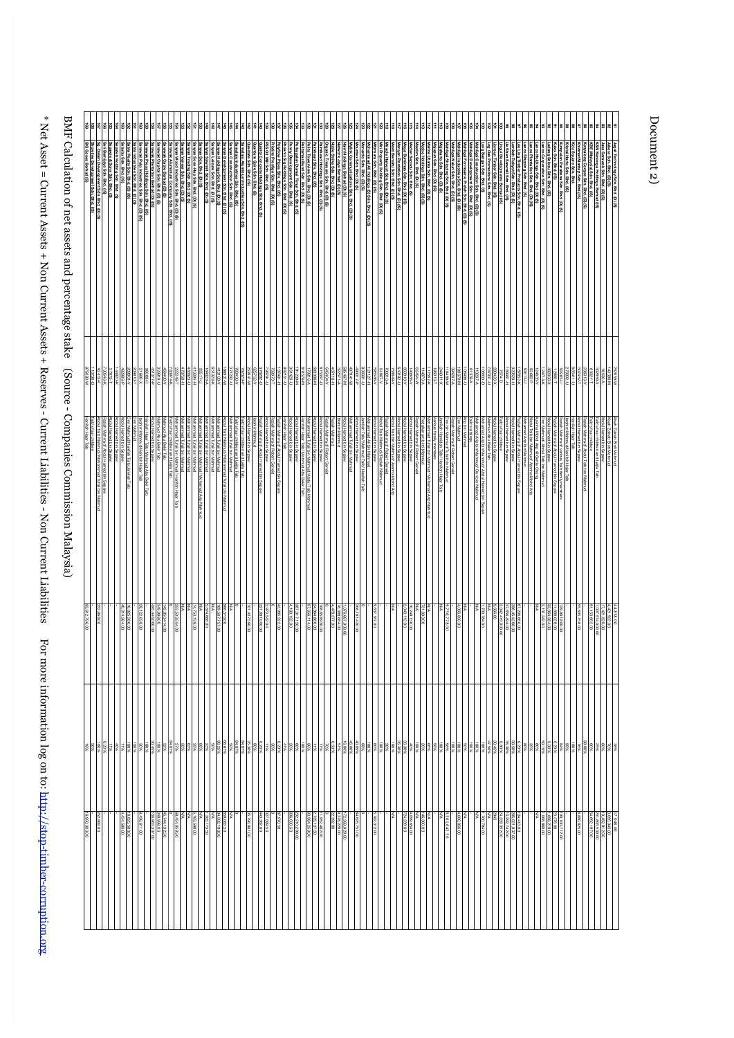| ÷<br>$\sim$ 1986 = Currell ASSEIS + INDII Currell Assets + Reserves - Currelli Luggerities - INDII Currell ASSEIS + INDII Currell Assets + Reserves - Currell ASSEIS + INDII Currell<br>ℷ<br>ì<br>j<br>J<br>١<br>j<br>$\frac{1}{2}$<br>֧֖֧֚֚֚֚֓֓֓֓֓ <b>֓</b><br>i<br>į<br>i<br>ś |  |
|----------------------------------------------------------------------------------------------------------------------------------------------------------------------------------------------------------------------------------------------------------------------------------|--|
| For n<br>j                                                                                                                                                                                                                                                                       |  |

| L The Stratcher Control of the Second Control of the Second Control of the Second Control of the Second Control of the Second Control of the Second Control of the Second Control of the Second Control of the Second Control<br>֦֦֪֧֧֧֧֧ׅ֧֧֧ׅ֧֧ׅ֧֧֧֧֧֪ׅ֛֛֪֛֛֛֛֛֚֚֚֚֚֚֚֚֚֚֚֚֚֚֚֚֚֚֚֚֚֚֚֚֚֡֝֝֬֝֝֟֓֝֓֝֓֝֓֜֓֝֬֝֓֜֝֬֜֓֝֬֝֬֝֬֝֬֝<br>֧֧֧֪֪֪֪֪֪֪֪֪֪֪֪֪֪֪֪֪֪֪֪֪ׅ֛֚֚֚֚֚֝֝<br>l<br>) |  |
|----------------------------------------------------------------------------------------------------------------------------------------------------------------------------------------------------------------------------------------------------------------------------------------------------------------------------------------------------------------------------|--|
| ;<br>;<br>$\sim$<br>1<br>ī<br>١<br>医皮肤病 医皮肤病 医心理 化二甲基苯甲基<br>$\frac{1}{2}$<br><b>The Mini-Separate Security</b>                                                                                                                                                                                                                                                             |  |

|                      |                                                                                 |                                               |                                                                                    |                               |                                                          |                                  |                                                                                                                        |                                                                               |                                                |                                                                                                            |                                                                                                                                                      |                            | 8 8 9 8 8 8 9 8 8 9 9 9                                                                                     | lē                                                                                                                                                                                                                                              | 휾        | 티声                                                                                                           | 횲                | 히로                                                                       | ā                             | 회회                                                                 | 8                   | [동] 동                                                                 | 8                          | 회회                                               |                                                                                     | g                        | 이용                                                                                      |                            | ভ∣ভ                                               | 日                                  | ls.                                                  | 회회                     |                   | 회해회                                                                       |              | lsla                                                                     |                   |                                                  |                                | la la                       |                                                                                                                                                                                                                                     | lੜ                             | Ξ                                                                                          | ā                                                             | ន      | lā                              | 8 | ls a                                                                                      |        | 회회회               |                                           |                 | 8898                                                                                                             |          | 88                                                                        |                        | 88                                                   |                         | 8             | £8                     |                     | 28 |                                                                                                                                                                                           |   |
|----------------------|---------------------------------------------------------------------------------|-----------------------------------------------|------------------------------------------------------------------------------------|-------------------------------|----------------------------------------------------------|----------------------------------|------------------------------------------------------------------------------------------------------------------------|-------------------------------------------------------------------------------|------------------------------------------------|------------------------------------------------------------------------------------------------------------|------------------------------------------------------------------------------------------------------------------------------------------------------|----------------------------|-------------------------------------------------------------------------------------------------------------|-------------------------------------------------------------------------------------------------------------------------------------------------------------------------------------------------------------------------------------------------|----------|--------------------------------------------------------------------------------------------------------------|------------------|--------------------------------------------------------------------------|-------------------------------|--------------------------------------------------------------------|---------------------|-----------------------------------------------------------------------|----------------------------|--------------------------------------------------|-------------------------------------------------------------------------------------|--------------------------|-----------------------------------------------------------------------------------------|----------------------------|---------------------------------------------------|------------------------------------|------------------------------------------------------|------------------------|-------------------|---------------------------------------------------------------------------|--------------|--------------------------------------------------------------------------|-------------------|--------------------------------------------------|--------------------------------|-----------------------------|-------------------------------------------------------------------------------------------------------------------------------------------------------------------------------------------------------------------------------------|--------------------------------|--------------------------------------------------------------------------------------------|---------------------------------------------------------------|--------|---------------------------------|---|-------------------------------------------------------------------------------------------|--------|-------------------|-------------------------------------------|-----------------|------------------------------------------------------------------------------------------------------------------|----------|---------------------------------------------------------------------------|------------------------|------------------------------------------------------|-------------------------|---------------|------------------------|---------------------|----|-------------------------------------------------------------------------------------------------------------------------------------------------------------------------------------------|---|
| SIG Gases Berhad (S) | Sg. Dalam Development Sdn. Bhd. (D) (S)<br>Shoreline Development Sdn. Bhd. (IS) |                                               | h Holding Sdn. Bhd. (S)<br>ie & Sons Sdn. Bhd. (S)<br>imijaya Sdn. Bhd. (IS)       | Sdn. Bhd. (IS)                | ndustries Sdn. Bhd. (D) (S)<br>Realty Sdn. Bhd. (D) (IS) |                                  | arawak Piantation Berhad (D) (IS)<br>arawak Press Holdings Sdn. Bhd. (IS)<br>arawak Pulp Industries Sdn. Bhd. (D) (IS) |                                                                               |                                                | arawak Aluminium Company Sdn. Bhd. (IS)<br>arawak Cable Berhad (D) (S)<br>arawak Capital Sdn. Bhd. (D) (S) | Sanyan Soon-Hup Sdn. Bhd. (D) (S)<br>Sanyan Trading Sdn. Bhd. (D) (S)<br>Sanyan Veneer Sdn. Bhd. (D) (S)<br>Sanyan Wood Industries Sdn. Bhd. (D) (S) |                            |                                                                                                             | Sammala in betraining acts upste (13)<br>Sammala in betraining acts upste (13)<br>Sammala in betraining acts upste (13)<br>Sammala indicates Sam Brist, (19)<br>Sammala indicates Sam Brist, (19)<br>Sammala in Brist, (19)<br>Sammala for (19) |          |                                                                                                              |                  |                                                                          | ate Sdn. Bhd. (IS)            | ality Concrete Holdings Sdn. Bhd. (S)<br>antum Spire Sdn. Bhd. (S) | Sdn. Bhd. (IS)      | mm.<br>/flow Pipes Sdn. Bhd. (IS)<br>····~ Prestige Sdn. Bhd. (D) (S) | Holdings Sdn. Bhd. (D) (S) |                                                  | s Bumi Sdn. Bhd. (D) (S)<br>an Damai Timur Sdn. Bhd. (S)<br>welopment Sdn. Bhd. (S) | <b>Bhd. (D) (S)</b>      | Sdn. Bhd. (IS)                                                                          | koldings Sch. Bhd. (D) (S) | » Sdn. Bhd. (D) (S)<br>asure Sdn. Bhd. (D) (<br>ø | Jaya Berhad (D) (S)                | nmunications Sdn. Bhd. (D) (S)<br>1gs Berhad (D) (S) |                        | Sdn. Bhd. (D) (S) | n. Bhd. (D) (IS)<br>Ali Holdings (S) Sdn. Bhd. (D) (S)<br>1. Bhd. (D) (S) |              | ા Sdn. Bhd. (D) (S)<br>કા Sdn. Bhd. (D) (S)<br>Holding Sdn. Bhd. (D) (S) |                   | <sup>l</sup> lantation Sdn. Bhd. (D) (IS)        | . Bhd. (S)<br>1. Bhd. (D) (IS) |                             | الاقا الله عليه الله عليه الله عليه الله عليه الله عليه الله عليه الله عليه الله عليه الله عليه الله<br>المواصلة عليه عليه الله عليه الله عليه الله عليه عليه عليه الله عليه عليه عليه الله عليه الله عليه الله عليه ا<br>الله عليه |                                | hligai Shipping Sán. Bhá. (D) (S)<br>jaharta Sán. Bhá. (D) (S)<br>jupun Sán. Bhá. (D) (IS) |                                                               |        |                                 |   |                                                                                           |        |                   | opments Berhad (IS)<br>ber Sdn. Bhd. (IS) |                 | s Ling Timber Products Sdn. Bhd. (15)<br>nbah Rakyat Sdn. Bhd. (10) (5)<br>Shen Sawmill Sdn. Bhd. (16)           | Bhd. (S) | Holdings Sdn. Bhd. (D) (S)<br>Plantation Sdn. Bhd. (D) (IS)               | Sdn. Bhd.<br>. (D) (S) | <u>. Bhd. (IS)</u><br>elezu Sdn. Bhd. (IS)           | abena Sdn. Bhd. (D) (S) | dn. Bhd. (IS) | tap Sdn. Bhd.(IS)<br>罗 | <b>Bhd. (D) (S)</b> | G  | 86011000<br>Berhad (IS)<br>ø                                                                                                                                                              | G |
| N-69818              | 110736-D<br>110738-D                                                            |                                               | 14820-K<br>57673-T<br>730546-K                                                     | d-98878                       | 209810-Y                                                 | $x - 0091$                       | H-80006<br>d-778191                                                                                                    |                                                                               | 0-616626                                       | 83974-K                                                                                                    | 22248-1                                                                                                                                              | R8823-U                    | H-1920                                                                                                      | 184028-A                                                                                                                                                                                                                                        | 351328-K | RR-1089                                                                                                      |                  |                                                                          | NN-1+869                      | $G - ZR Z$                                                         | $0 - 16286$         | I97401-H                                                              |                            | 191239-U<br>W-022191                             |                                                                                     | V-91862<br><b>8578-M</b> |                                                                                         |                            |                                                   |                                    |                                                      |                        |                   | 395586-V<br>121127-H<br>131127-U                                          |              |                                                                          |                   | A3182-U                                          |                                | K184-W                      |                                                                                                                                                                                                                                     | 17567-K                        | 86013-1                                                                                    | I/-69101                                                      | 1821   |                                 |   |                                                                                           |        | n-18628           |                                           | H-19+68         | 87652-K                                                                                                          |          | 124635-V<br>93682-P                                                       |                        | 12880-T<br>182893-X                                  |                         |               |                        |                     |    |                                                                                                                                                                                           |   |
| Hanifah Hajar Taib   |                                                                                 | Abdul Taib Mahmud/ Mohammad Tufail bin Mahmud | Abdul Hamed bin Sepavi<br>Abdul Hamed bin Sepavi<br>Raziah Mahmud/ Abdul Hamed bin | bdul Hamed bin Sepani<br>lē   | Mahmud/Hanifah                                           | brahim Mahmud/Hanifah Hajar Taib | Abdul Hamed bin Sepawi<br>Hanifah Hajar Taib/ Mahm<br>lē                                                               |                                                                               | Mahmud Abu Bekir Taib<br>Mahmud Abu Bekir Taib | Faib's four children and Leila Taib                                                                        | Mohammad Tufail bin Mahmud<br>Mohammad Tufail bin Mahmud/ Hanifah<br><b>Hajar Taib</b>                                                               | Mohammad Tufail bin Mahmud | Mohammad Tufali Bin Mahmud<br>Mohammad Tufali Bin Mahmud/ Mohamad Arip Mahmud<br>Mohammad Tufali Bin Mahmud |                                                                                                                                                                                                                                                 |          | Abdul Taib Mahmud/ Mohammad Tufail ibin Mahmud<br>Mohammad Tufail ibin Mahmud<br>Mohammad Tufail ibin Mahmud | ufail bin Mahmud | aib's four children and Leija Taib<br>aib's four children and Leija Taib | ul Hamed bin Sepawi<br>Mahmud | laziah Mahmud/ Abdul Hamed bin Sepawi                              | Il Hamed bin Sepawi | Raziah Mahmud/ Abdul Hamed bin Sepawi<br>Raziah Mahmud/ Robert Geneid |                            | Nodul Hamed bin Sepawi<br>Nodul Hamed bin Sepawi |                                                                                     | are/Mannuc               | i Hamed bin Sepawi<br>mmad Tufail bin Mahmud/Abdul Taib Mahmud                          | Hamed bin Sepawi           | ah Mahmud/ Robert Geneid                          | brahim Mahmud<br>Mahn              | <b>MEGBS</b>                                         | <b>Hamed</b><br>Sepani | <sub>e</sub>      | I Ali bin<br>Mahm                                                         | Sepann       | Robert Geneid<br>Iud/ Raziah Mahmud                                      | Azerina Mohd<br>š | ibdul Hamed bin Sepawi<br>ibdul Hamed bin Sepawi |                                | g<br>Robert Geneid<br>Sepan |                                                                                                                                                                                                                                     | ufail bin Mahmud/ Mohamad Arip |                                                                                            | <b>Jnn bin Mahmud/Tufail bin Mahmud</b><br>Hanifah Hajar Taib | Mahmud | <b>Vip bin Mahmud</b><br>burnud |   | amad Arip bin Mahmud/<br>amad Arip bin Mahmud/<br>/ About Hamed bin :<br>/ Onn bin Mahmud |        | Abu Bekir<br>Taib | Ē                                         | Hamed bin Sepaw | łaziah Mahmud/ Abdul Hamed bin Sepawi                                                                            |          | xrina Mohd Arip @ Gerfie Chang<br>dul Taib bin Mahmud/ Azerina Mohd<br>Αή | Mahmud                 | Abdul<br>Hamed bin:<br>Sepan                         | iab<br>member           | Tab           | Bir<br>Sepawi          |                     |    | Tait                                                                                                                                                                                      |   |
| 93,612,796.00        |                                                                                 | 252,868.00                                    |                                                                                    | 825,580.00<br>1314,364.00     |                                                          | 28, 122, 038.00                  |                                                                                                                        | $\frac{48}{36}$<br>448,000.00                                                 | 349,998.00                                     |                                                                                                            | 253,533,554.00                                                                                                                                       | ß                          | 4,753,138.00                                                                                                | 5.674.668.00                                                                                                                                                                                                                                    | š        | 988,576.00<br>109,567,757.00                                                                                 | š                |                                                                          | 01,407,596.00                 | 00'000'169                                                         | 73,542.00           | 43,985,322.00                                                         |                            | 187,017,150.00<br>1,180,152.00                   |                                                                                     |                          | $\begin{array}{ l } 108.659.990.00 \\ 24.864.886.00 \\ \hline \end{array}$              |                            |                                                   | 18,388,694.00<br>4,478,377.00      | 8                                                    |                        | 208,181,430.00    |                                                                           | 9,637,187.00 |                                                                          | š                 |                                                  | 10,249,138.00<br>2,040,112.00  | ß                           |                                                                                                                                                                                                                                     | ∛≊                             |                                                                                            | 9,756,778.00                                                  |        | 4,066,856.00<br>ß               |   | š                                                                                         |        |                   |                                           | 656,494.00      | 7,206,660.00                                                                                                     |          |                                                                           |                        | 129,881,800.00<br>  11,688,028.00<br>  33,964,384.00 |                         |               | 55,505,158.00          |                     |    |                                                                                                                                                                                           |   |
|                      |                                                                                 |                                               |                                                                                    |                               |                                                          |                                  |                                                                                                                        |                                                                               |                                                |                                                                                                            |                                                                                                                                                      |                            |                                                                                                             |                                                                                                                                                                                                                                                 |          |                                                                                                              |                  |                                                                          |                               |                                                                    |                     |                                                                       |                            |                                                  |                                                                                     |                          |                                                                                         |                            |                                                   |                                    |                                                      |                        |                   |                                                                           |              |                                                                          |                   |                                                  |                                |                             |                                                                                                                                                                                                                                     |                                |                                                                                            |                                                               |        |                                 |   |                                                                                           |        |                   |                                           |                 |                                                                                                                  |          |                                                                           |                        |                                                      |                         |               |                        |                     |    |                                                                                                                                                                                           |   |
| 16,850,303.00        |                                                                                 | 252,888.00                                    |                                                                                    | 16,825,590.00<br>4,434,580.00 |                                                          | 8,436,611.00                     |                                                                                                                        | $\frac{45.744, 132.80}{349, 898.00}$<br>$\frac{348, 898.00}{150, 863.307.00}$ |                                                |                                                                                                            | 68,454,059.50                                                                                                                                        |                            | $\begin{array}{c c}\n & \frac{1}{6,163,698,00} \\  & \frac{1}{100}\n\end{array}$                            | 1,305,173.50<br>N/A                                                                                                                                                                                                                             |          | 659.083.50<br>94,502,190.00                                                                                  | š                |                                                                          | 35,796,881.00                 |                                                                    | 327,089.50          | 87,970.50                                                             |                            | 232,210,290.00<br>836,030.50                     |                                                                                     |                          | $\begin{array}{ c c c c }\hline & 111.952,492,00 \\ 2,735,137,50 \\ \hline \end{array}$ |                            |                                                   | $\frac{172,269,920,00}{22,392,00}$ |                                                      | 84,625,751.00          |                   |                                                                           | 5,782,312.00 |                                                                          | š                 |                                                  |                                |                             | $\begin{array}{r} 1/4, 360.00 \\ 1/46, 360.00 \\ 1/24, 239.00 \\ 724, 239.00 \\ \end{array}$                                                                                                                                        |                                |                                                                                            | 9.561,642.50                                                  |        | N/A<br>4,066,856.00             |   | $\frac{1}{\sqrt{2}}$                                                                      | 784.00 |                   |                                           |                 | $\begin{array}{l} 134,413.00 \\ 285,021.922.742.00 \\ 24,339,362.00 \\ 2943 \\ 100 \\ 100 \\ 100 \\ \end{array}$ |          |                                                                           | K                      | 23.376.00<br>1.698.219.00<br>1.068.869.00            | 100,712.00              |               | 8,880,825.00           |                     | 52 | $\begin{array}{r} {\begin{array}{c} 3.0 \, \mathrm{W} \\ 1.0 \, \mathrm{W} \\ 2.0 \, \mathrm{W} \\ 3.1.883, 500.00 \\ 3.1.883, 500.00 \\ 4.4, 682. \, 197.00 \end{array}} \\ \end{array}$ |   |

# Document 2) Document 2)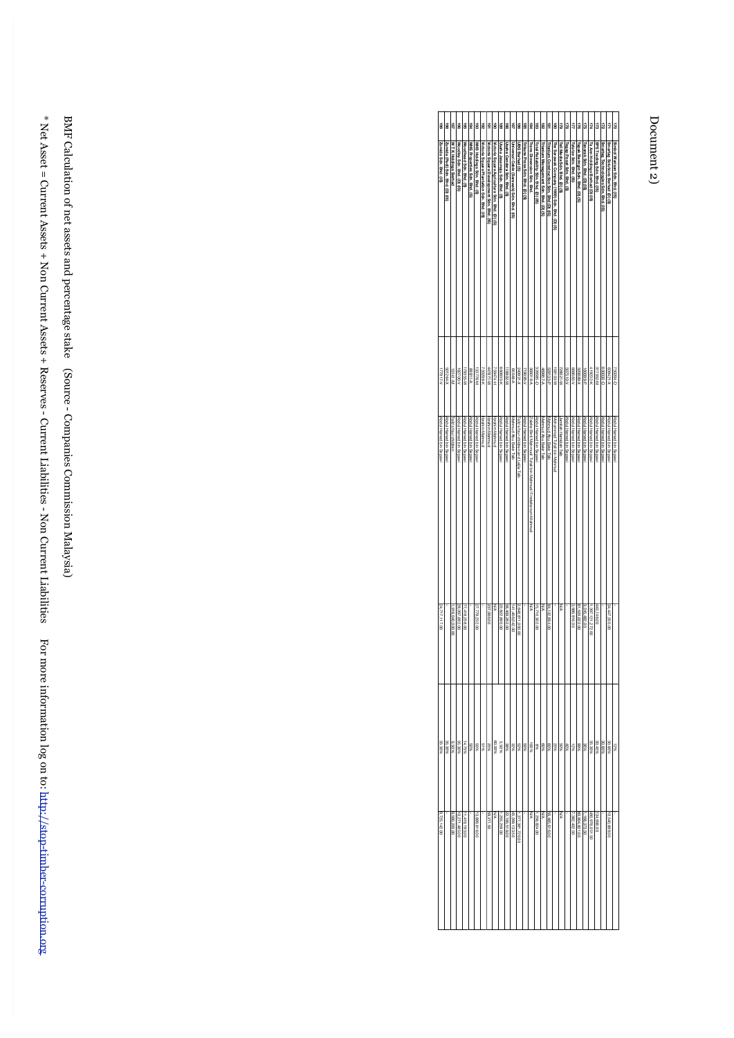# Document 2) Document 2)

| si                     | 86                               | 48                   | $\overrightarrow{8}$       | gg                     | 184                          | ä                          | 18                                        | 181                                        | $\overline{\mathbf{8}}$                       | œ,                           | 88                          | 冒                                        | 98                                  | gg                              | g                                                         | ä                                    | <b>R</b>                              | 흪                                       | ë,                                           | J                            | a                         | 4                      | ã                                | 178                        | 44                              | ដ                          | ā                                   | 3                                | ă                            |
|------------------------|----------------------------------|----------------------|----------------------------|------------------------|------------------------------|----------------------------|-------------------------------------------|--------------------------------------------|-----------------------------------------------|------------------------------|-----------------------------|------------------------------------------|-------------------------------------|---------------------------------|-----------------------------------------------------------|--------------------------------------|---------------------------------------|-----------------------------------------|----------------------------------------------|------------------------------|---------------------------|------------------------|----------------------------------|----------------------------|---------------------------------|----------------------------|-------------------------------------|----------------------------------|------------------------------|
| Zumida Sdn. Bhd. (IS)  | Zumida (Padi) Sdn. Bhd. (D) (IS) | W TK Holdings Berhad | Woodley Sdn. Bhd. (D) (IS) | Woodhead Sdn. Bhd. (S) | WHS Properties Sdn. Bhd. (S) | WHS Holdings Sdn. Bhd. (S) | Victoria Square Plantation Sdn. Bhd. (IS) | Victoria Square Development Sdn. Bhd. (IS) | Victoria Square Agriculture Sdn. Bhd. (D) (S) | Usaha Jasamaju Sdn. Bhd. (S) | Usaha Cendera Sdn. Bhd. (S) | Universal Cable (Sarawak) Sdn. Bhd. (IS) | UBG Berhad (S)                      | Tribune Press Sdn. Bhd. (D) (S) | <b>Trans Dimension Sdn. Bhd.</b>                          | Total Reliability Sdn. Bhd. (D) (IS) | Titanlum Management Sdn. Bhd. (D) (S) | fitanium Construction Sdn. Bhd (D) (IS) | The Sarawak Company (1959) Sdn. Bhd. (D) (S) | Tell Media Sdn. Bhd. (D) (S) | Tegap Pesat Sdn. Bhd. (S) | atatze Sdn. Bhd. (IS)  | Tapak Beringin Sdn. Bhd. (D) (S) | Fanarak Sdn. Bhd. (D) (IS) | Ta Ann Holdings Berhad (D) (IS) | SPS Trading Sdn. Bhd. (IS) | Smartag Technologies Sdn. Bhd. (IS) | Smartag Solutions Berhad (D) (S) | Simpol Vanisan Sch. Bhd. (b) |
| V-11917-V              | 501264-X                         | W-1+101              | 182700-V                   | 179355-W               | A-11888                      | 133776-M                   | 733288-K                                  | Nr-1282##                                  | H-14987                                       | 660630-K                     | IN-208611                   | <b>A-84008</b>                           | 240931-X                            | 71908-V                         | <b>A-810888</b>                                           | 326585-D                             | 469957-A                              | 528135-P                                | IV-801851                                    | 728021-W                     | A-019209                  | 668665-V               | 320888-X                         | $d - 600091$               | 419232-K                        | 317552-M                   | 600030-D                            | 639421-X                         | $T+10770$                    |
| Abdul Hamed bin Sepawi | Abdul Hamed bin Sepawi           | Taib's four children | Abdul Hamed bin Sepawi     | Abdul Hamed bin Sepaw  | Abdul Hamed bin Sepawi       | Abdul Hamed bin Sepaw      | Ibrahim Mahmud                            | Ibrahim Mahmud                             | <b>brahim Mahmud</b>                          | Abdul Hamed bin Sepawi       | Abdul Hamed bin Sepawi      | Mahmud Abu Bekir Taib                    | Taib's four children and Leila Taib | Abdul Hamed bin Sepawi          | Zaleha Birti Mahmud/ Tufail bin Mahmud/ Fredahanum Mahmud | Abdul Hamed bin Sepawi               | Mahmud Abu Bekir Taib                 | Mahmud Abu Bekir Taib                   | Mohammad Tufail bin Mahmud                   | Jamilah Hamidah Taib         | Abdul Hamed bin Sepaw     | Abdul Hamed bin Sepawi | Abdul Hamed bin Sepaw            | Abdul Hamed bin Sepawi     | Abdul Hamed bin Sepawi          | Abdul Hamed bin Sepawi     | Abdul Hamed bin Sepawi              | Abdul Hamed bin Sepawi           | INBOBS UID DBLUBH INDOX      |
| 24,717,117.00          |                                  | 916,040,000.00       | 29,097,692.00              | 77,418,258.00          |                              | 27,779,222.00              |                                           | 237,086.00                                 | Ş                                             | 22,822,890.00                | 58,409,262.00               | 141,466,042.00                           | 648,811,000.00                      |                                 | WN                                                        | 15,710,302.00                        | Ş                                     | 94,142,694.00                           |                                              | Š                            |                           | 980,916.00             | 61,520,022.00                    | 3,245,482.00               | 397,121,272.00                  | 443,146.00                 |                                     | 34,447,350.00                    |                              |
| 35.30%                 | 35.30%                           | %090                 | 35.30%                     | 14.75%                 | %09                          | %0\$                       | 81%                                       | 9692                                       | %00'09                                        | 96099                        | 38%                         | 32%                                      | 9629                                | 9609                            | 96001                                                     | 968                                  | %09                                   | %09                                     | 9602                                         | %0\$                         | %0+                       | 3821                   | %66                              | 9696                       | 35.30%                          | 30.45%                     | 30.60%                              | 30.60%                           | 96.71                        |
| 8,725,142.00           |                                  | 9,580,200.00         | 0,271,485.00               | 1,419,193.00           |                              | ,889,616.00                |                                           | 59,271.50                                  | Š                                             | 255,259.00                   | 22,196,519.00               | 45,269,133.50                            | 377,381,720.00                      |                                 | ξ                                                         | 256,824.00                           | ψN                                    | 56,485,616.00                           |                                              | Š                            |                           | ,382, 402.50           | 60,904,821.00                    | 168,373.50                 | 495, 978, 051.50                | 134,938.00                 |                                     | 10,540,889.00                    |                              |

BMF Calculation of net assets and percentage stake (Source - Companies Commission Malaysia) BMF Calculation of net assets and percentage stake (Source - Companies Commission Malaysia)

\* Net Asset = Current Assets + Non Current Assets + Reserves - Current Liabilities - Non Current Liabilities For more information log on to:

\*Net Asset = Current Assets + Non Current Assets + Reserves - Current Liabilities For more information log on to: http://stop-timber-corruption.org

http://stop-timber-corruption.org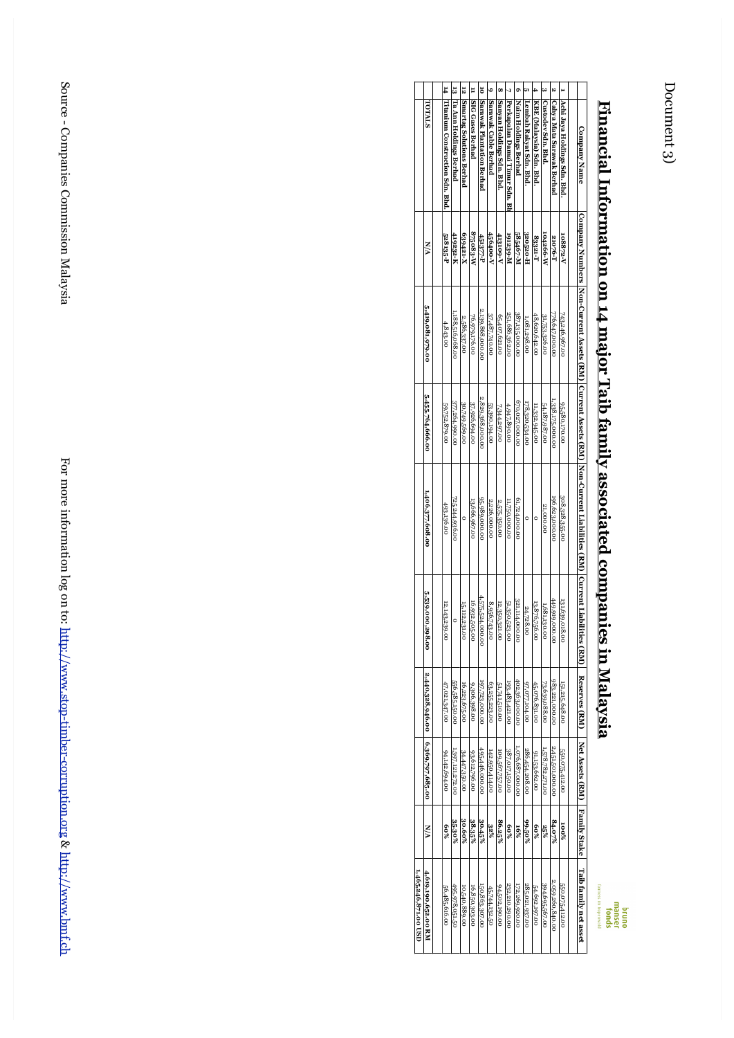# **Financial Information on 14 major Taib family associated companies in** <u>Financial Information on 14 major Taib family associated companies in Malaysia</u>

|                      |                      |                                   |                           | Ñ                        |                     | ō                         |                            | œ                         |                                | ¢                    |                         |                          |                    | N                                |                              |                                                                                                                                                                                                                                |                                                                              |
|----------------------|----------------------|-----------------------------------|---------------------------|--------------------------|---------------------|---------------------------|----------------------------|---------------------------|--------------------------------|----------------------|-------------------------|--------------------------|--------------------|----------------------------------|------------------------------|--------------------------------------------------------------------------------------------------------------------------------------------------------------------------------------------------------------------------------|------------------------------------------------------------------------------|
|                      | TOTALS               | 14 Titanium Construction Sdn. Bhd | 13 Ta Ann Holdings Berhad | Smartag Solutions Berhad | 11 SIG Gases Berhad | Sarawak Plantation Berhad | Sarawak Cable Berhad       | Sanyan Holdings Sdn. Bhd. | Perkapalan Damai Timur Sdn. Bh | Naim Holdings Berhad | Lembah Rakyat Sdn. Bhd. | KBE (Malaysia) Sdn. Bhd. | Custodev Sdn. Bhd. | <b>Cahya Mata Sarawak Berhad</b> | Achi Jaya Holdings Sdn. Bhd. | <b>Company Name</b>                                                                                                                                                                                                            | <u>r manciai imuri matuvii vii 14 majur 1 aiv iamii y assuciated cumpani</u> |
|                      | N/A                  | 528135-P                          | 419232-K                  | 639421-X                 | 875083-W            | 451377-P                  | 456400-V                   | <b>A-601817</b>           | и-682161                       | 585467-M             | 320520-H                | S3221-T                  | 104266-W           | 21076-T                          | 108872-V                     |                                                                                                                                                                                                                                |                                                                              |
|                      | 5,419,081,979.00     | 4,843.00                          | 1,188,516,068.00          | 2,586,337.00             | 76,979,176.00       | 2,139,868,000.00          | 37,487,740.00              | 65,407,621.00             | 251,686,362.00                 | 387,135,000.00       | 1,081,298.00            | 48,620,642.00            | 31,753,326.00      | 776,647,000.00                   | 743,246,967.00               |                                                                                                                                                                                                                                |                                                                              |
|                      | 5,455,764,666.00     | 59,752,879.00                     | 377,264,990.00            | 30,749,569.00            | 37,926,694.00       | 2,829,368,000.00          | 53,390,194.00              | 7,344,297.00              | 4,947,890.00                   | 670,027,000.00       | 178,320,534.00          | 11,332,945.00            | 54,187,987.00      | 1,338,175,000.00                 | 95,580,170.00                |                                                                                                                                                                                                                                |                                                                              |
|                      | 1,406,377,608.00     | 493.136.00                        | 725,244,936.00            |                          | 13,666,967.00       | 95,989,000.00             | 2,226,000.00               | 2.575.350.00              | 11,750,000.00                  | 61,724,000.00        | 0                       |                          | 21,000.00          | 196,623,000.00                   | 308,328,355.00               | Company Number (1 SEN) [Correct 1 Sensity of National Library Length Sensity Care (National Sensity Sensity National National National National National National National National National National National National Nation |                                                                              |
|                      | 5،539,000,2<br>98.00 | 12,143,239.00                     | $\circ$                   | 15,112,231<br>ġ          | 16,932,505.00       | 4575,524,000.00           | 8,956,743<br>$\frac{1}{6}$ | 12,350,321.00             | 51,350,523.00                  | 321,114,000.00       | 24,728.00               | 13,876,756.00            | 1,681,130.00       | 449,919,000.00                   | 131,639,018.00               |                                                                                                                                                                                                                                |                                                                              |
|                      | 2,440,328,946.00     | 47,021,347.00                     | 556,585,150.00            | 16,223,675.00            | 9,306,398.00        | 197,723,000.00            | 63,255,223.00              | 51,741,510.00             | 193,483,421.00                 | 402,363,000.00       | 97,077,104.00           | 45,076,831.00            | 73,639,088.00      | 983,221,000.00                   | 151,215,648.00               | Reserves (RM)                                                                                                                                                                                                                  | ES III Midiaydia                                                             |
|                      | 6,369,797,685.00     | 94,142,694.00                     | 1,397,121,272.00          | 34.447.350.00            | 93,612,796.00       | 495,446,000.00            | 142,950,414.00             | 109,567,757.00            | 387,017,150.00                 | 0.076,687,000.00     | 286,454,208.00          | 91,153,662.00            | 1,578,782,271.00   | 2,451,501,000.00                 | 550,075,412.00               | Net Assets (RM)   Family Stake                                                                                                                                                                                                 |                                                                              |
|                      | N/A                  | %09                               | 35.30%                    | 30.60%                   | 38.35%              | 30.45%                    | $32\%$                     | 86.25%                    | 80%                            | $-5%$                | %02.66                  | %09                      | 25%                | 84.07%                           | $\frac{80}{20}$              |                                                                                                                                                                                                                                |                                                                              |
| 1,465,246,871.00 USD | 4,619,190,652.00 RM  | 56,485,616.00                     | 495,978,051.50            | 10,540,889.00            | 16,850,303.00       | 150,863,307.00            | 45,744,132.50              | 94502,190.00              | 232,210,290.00                 | 172,269,920.00       | 285,021,937.00          | 54,692,197.00            | 394,695,567.00     | 2,059,260,840.00                 | 550,075,412.00               | Taib family net asset                                                                                                                                                                                                          | fairness im tropenwald                                                       |

Source - Companies Commission Malaysia Source - Companies Commission Malaysia For more information log on to: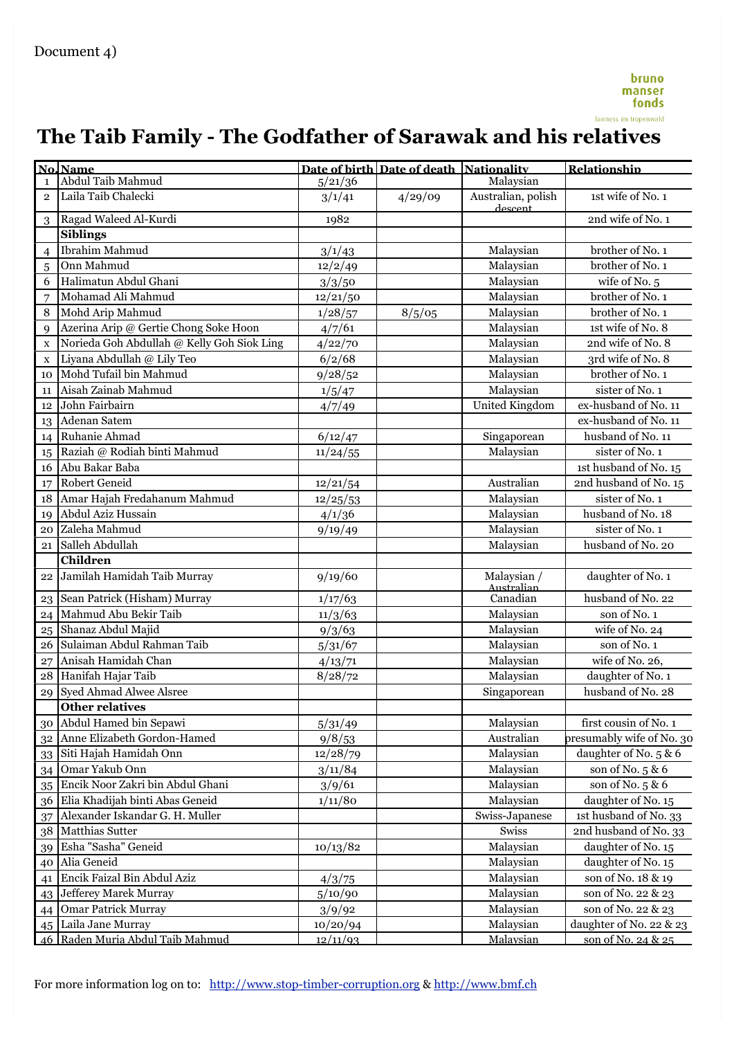# **The Taib Family - The Godfather of Sarawak and his relatives**

|                | No. Name                                   |          | Date of birth Date of death Nationality |                               | Relationship              |
|----------------|--------------------------------------------|----------|-----------------------------------------|-------------------------------|---------------------------|
| $\mathbf{1}$   | Abdul Taib Mahmud                          | 5/21/36  |                                         | Malaysian                     |                           |
| $\overline{2}$ | Laila Taib Chalecki                        | 3/1/41   | 4/29/09                                 | Australian, polish<br>descent | 1st wife of No. 1         |
| 3              | Ragad Waleed Al-Kurdi                      | 1982     |                                         |                               | 2nd wife of No. 1         |
|                | <b>Siblings</b>                            |          |                                         |                               |                           |
| $\overline{4}$ | Ibrahim Mahmud                             | 3/1/43   |                                         | Malaysian                     | brother of No. 1          |
| 5              | Onn Mahmud                                 | 12/2/49  |                                         | Malaysian                     | brother of No. 1          |
| 6              | Halimatun Abdul Ghani                      | 3/3/50   |                                         | Malaysian                     | wife of No. 5             |
| 7              | Mohamad Ali Mahmud                         | 12/21/50 |                                         | Malaysian                     | brother of No. 1          |
| 8              | Mohd Arip Mahmud                           | 1/28/57  | 8/5/05                                  | Malaysian                     | brother of No. 1          |
| 9              | Azerina Arip @ Gertie Chong Soke Hoon      | 4/7/61   |                                         | Malaysian                     | 1st wife of No. 8         |
| $\mathbf X$    | Norieda Goh Abdullah @ Kelly Goh Siok Ling | 4/22/70  |                                         | Malaysian                     | 2nd wife of No. 8         |
| $\mathbf X$    | Liyana Abdullah @ Lily Teo                 | 6/2/68   |                                         | Malaysian                     | 3rd wife of No. 8         |
| 10             | Mohd Tufail bin Mahmud                     | 9/28/52  |                                         | Malaysian                     | brother of No. 1          |
| 11             | Aisah Zainab Mahmud                        | 1/5/47   |                                         | Malaysian                     | sister of No. 1           |
| 12             | John Fairbairn                             | 4/7/49   |                                         | United Kingdom                | ex-husband of No. 11      |
| 13             | Adenan Satem                               |          |                                         |                               | ex-husband of No. 11      |
| 14             | Ruhanie Ahmad                              | 6/12/47  |                                         | Singaporean                   | husband of No. 11         |
| 15             | Raziah @ Rodiah binti Mahmud               | 11/24/55 |                                         | Malaysian                     | sister of No. 1           |
| 16             | Abu Bakar Baba                             |          |                                         |                               | 1st husband of No. 15     |
| 17             | Robert Geneid                              | 12/21/54 |                                         | Australian                    | 2nd husband of No. 15     |
| 18             | Amar Hajah Fredahanum Mahmud               | 12/25/53 |                                         | Malaysian                     | sister of No. 1           |
| 19             | Abdul Aziz Hussain                         | 4/1/36   |                                         | Malaysian                     | husband of No. 18         |
| 20             | Zaleha Mahmud                              | 9/19/49  |                                         | Malaysian                     | sister of No. 1           |
| 21             | Salleh Abdullah                            |          |                                         | Malaysian                     | husband of No. 20         |
|                | <b>Children</b>                            |          |                                         |                               |                           |
| 22             | Jamilah Hamidah Taib Murray                | 9/19/60  |                                         | Malaysian /<br>Australian     | daughter of No. 1         |
| 23             | Sean Patrick (Hisham) Murray               | 1/17/63  |                                         | Canadian                      | husband of No. 22         |
| 24             | Mahmud Abu Bekir Taib                      | 11/3/63  |                                         | Malaysian                     | son of No. 1              |
| 25             | Shanaz Abdul Majid                         | 9/3/63   |                                         | Malaysian                     | wife of No. 24            |
| 26             | Sulaiman Abdul Rahman Taib                 | 5/31/67  |                                         | Malaysian                     | son of No. 1              |
| 27             | Anisah Hamidah Chan                        | 4/13/71  |                                         | Malaysian                     | wife of No. 26,           |
| 28             | Hanifah Hajar Taib                         | 8/28/72  |                                         | Malaysian                     | daughter of No. 1         |
| 29             | Syed Ahmad Alwee Alsree                    |          |                                         | Singaporean                   | husband of No. 28         |
|                | <b>Other relatives</b>                     |          |                                         |                               |                           |
| $30\,$         | Abdul Hamed bin Sepawi                     | 5/31/49  |                                         | Malaysian                     | first cousin of No. 1     |
| 32             | Anne Elizabeth Gordon-Hamed                | 9/8/53   |                                         | Australian                    | presumably wife of No. 30 |
| 33             | Siti Hajah Hamidah Onn                     | 12/28/79 |                                         | Malaysian                     | daughter of No. 5 & 6     |
| 34             | Omar Yakub Onn                             | 3/11/84  |                                         | Malaysian                     | son of No. 5 & 6          |
| 35             | Encik Noor Zakri bin Abdul Ghani           | 3/9/61   |                                         | Malaysian                     | son of No. 5 & 6          |
| 36             | Elia Khadijah binti Abas Geneid            | 1/11/80  |                                         | Malaysian                     | daughter of No. 15        |
| 37             | Alexander Iskandar G. H. Muller            |          |                                         | Swiss-Japanese                | 1st husband of No. 33     |
| 38             | Matthias Sutter                            |          |                                         | Swiss                         | 2nd husband of No. 33     |
| 39             | Esha "Sasha" Geneid                        | 10/13/82 |                                         | Malaysian                     | daughter of No. 15        |
| 40             | Alia Geneid                                |          |                                         | Malaysian                     | daughter of No. 15        |
| 41             | Encik Faizal Bin Abdul Aziz                | 4/3/75   |                                         | Malaysian                     | son of No. 18 & 19        |
| 43             | Jefferey Marek Murray                      | 5/10/90  |                                         | Malaysian                     | son of No. 22 & 23        |
| 44             | <b>Omar Patrick Murray</b>                 | 3/9/92   |                                         | Malaysian                     | son of No. 22 & 23        |
| 45             | Laila Jane Murray                          | 10/20/94 |                                         | Malaysian                     | daughter of No. 22 & 23   |
|                | 46 Raden Muria Abdul Taib Mahmud           | 12/11/93 |                                         | Malavsian                     | son of No. 24 & 25        |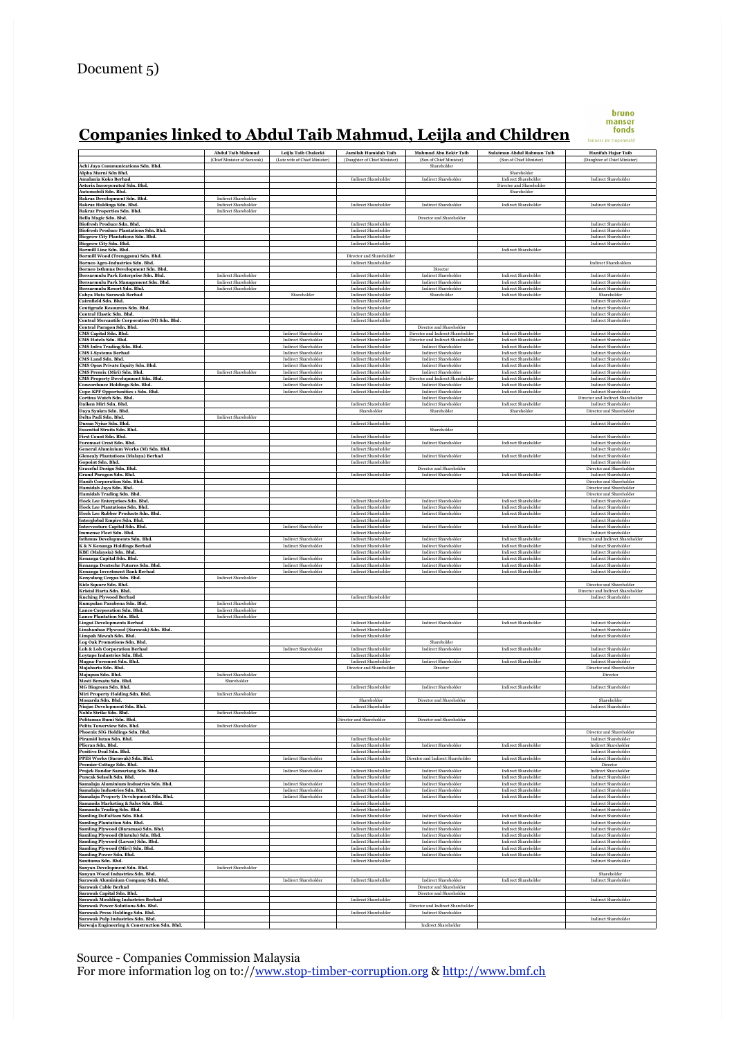# <u>Companies linked to Abdul Taib Mahmud, Leijla and Children manser</u>

|                                                                                      | <b>Abdul Taib Mahmud</b><br>(Chief Minister of Sarawak)    | Leijla Taib Chalecki<br>(Late wife of Chief Minister)      | Jamilah Hamidah Taib<br>(Daughter of Chief Minister)       | Mahmud Abu Bekir Taib<br>(Son of Chief Minister)                 | Sulaiman Abdul Rahman Taib<br>(Son of Chief Minister)      | Hanifah Hajar Taib<br>(Daughter of Chief Minister)            |
|--------------------------------------------------------------------------------------|------------------------------------------------------------|------------------------------------------------------------|------------------------------------------------------------|------------------------------------------------------------------|------------------------------------------------------------|---------------------------------------------------------------|
| Achi Jaya Communications Sdn. Bhd.                                                   |                                                            |                                                            |                                                            | Shareholder                                                      | Shareholder                                                |                                                               |
| Alpha Murni Sdn Bhd.<br>Amalania Koko Berhad                                         |                                                            |                                                            | <b>Indirect Shareholder</b>                                | <b>Indirect Shareholder</b>                                      | Indirect Shareholder                                       | <b>Indirect Shareholder</b>                                   |
| Asterix Incorporated Sdn. Bhd.<br>Automobili Sdn. Bhd.                               |                                                            |                                                            |                                                            |                                                                  | Director and Shareholder<br>Shareholder                    |                                                               |
| Bakraz Development Sdn. Bhd.<br>Bakraz Holdings Sdn. Bhd.                            | <b>Indirect Shareholder</b><br><b>Indirect Shareholder</b> |                                                            | <b>Indirect Shareholder</b>                                | <b>Indirect Shareholder</b>                                      | <b>Indirect Shareholder</b>                                | <b>Indirect Shareholder</b>                                   |
| Bakraz Properties Sdn. Bhd.<br>Bella Magic Sdn. Bhd.                                 | <b>Indirect Shareholder</b>                                |                                                            |                                                            | Director and Shareholder                                         |                                                            |                                                               |
| Biofresh Produce Sdn. Bhd.<br><b>Biofresh Produce Plantations Sdn. Bhd.</b>          |                                                            |                                                            | <b>Indirect Shareholder</b><br><b>Indirect Shareholder</b> |                                                                  |                                                            | <b>Indirect Shareholder</b><br><b>Indirect Shareholder</b>    |
| <b>Biogrow City Plantations Sdn. Bhd.</b>                                            |                                                            |                                                            | <b>Indirect Shareholder</b>                                |                                                                  |                                                            | <b>Indirect Shareholder</b>                                   |
| Biogrow City Sdn. Bhd.<br><b>Bormill Line Sdn. Bhd.</b>                              |                                                            |                                                            | <b>Indirect Shareholder</b>                                |                                                                  | <b>Indirect Shareholder</b>                                | <b>Indirect Shareholder</b>                                   |
| Bormill Wood (Trengganu) Sdn. Bhd.<br>Borneo Agro-Industries Sdn. Bhd.               |                                                            |                                                            | Director and Shareholder<br><b>Indirect Shareholder</b>    |                                                                  |                                                            | <b>Indirect Shareholders</b>                                  |
| Borneo Isthmus Development Sdn. Bhd.<br>Borsarmulu Park Enterprise Sdn. Bhd.         | <b>Indirect Shareholder</b>                                |                                                            | <b>Indirect Shareholder</b>                                | Director<br><b>Indirect Shareholder</b>                          | <b>Indirect Shareholder</b>                                | <b>Indirect Shareholder</b>                                   |
| Borsarmulu Park Management Sdn. Bhd.<br>Borsarmulu Resort Sdn. Bhd.                  | <b>Indirect Shareholder</b><br><b>Indirect Shareholder</b> |                                                            | <b>Indirect Shareholder</b><br><b>Indirect Shareholder</b> | Indirect Shareholder<br>Indirect Shareholder                     | <b>Indirect Shareholder</b><br><b>Indirect Shareholder</b> | <b>Indirect Shareholder</b><br><b>Indirect Shareholder</b>    |
| Cahya Mata Sarawak Berhad                                                            |                                                            | Shareholder                                                | <b>Indirect Shareholder</b>                                | Shareholder                                                      | <b>Indirect Shareholder</b>                                | Shareholder                                                   |
| Cairnfield Sdn. Bhd.<br>Centigrade Resources Sdn. Bhd.                               |                                                            |                                                            | <b>Indirect Shareholder</b><br><b>Indirect Shareholder</b> |                                                                  |                                                            | <b>Indirect Shareholder</b><br>Indirect Shareholder           |
| Central Elastic Sdn. Bhd.<br>Central Mercantile Corporation (M) Sdn. Bhd.            |                                                            |                                                            | <b>Indirect Shareholder</b><br><b>Indirect Shareholder</b> |                                                                  |                                                            | <b>Indirect Shareholder</b><br><b>Indirect Shareholder</b>    |
| Central Paragon Sdn. Bhd.<br>CMS Capital Sdn. Bhd.                                   |                                                            | <b>Indirect Shareholder</b>                                | <b>Indirect Shareholder</b>                                | Director and Shareholder<br>Director and Indirect Shareholde     | <b>Indirect Shareholder</b>                                | <b>Indirect Shareholder</b>                                   |
| CMS Hotels Sdn. Bhd.                                                                 |                                                            | <b>Indirect Shareholder</b>                                | <b>Indirect Shareholder</b>                                | Director and Indirect Shareholder                                | <b>Indirect Shareholder</b>                                | <b>Indirect Shareholder</b>                                   |
| CMS Infra Trading Sdn. Bhd.<br><b>CMS I-Systems Berhad</b>                           |                                                            | Indirect Shareholder<br><b>Indirect Shareholder</b>        | Indirect Shareholder<br><b>Indirect Shareholder</b>        | <b>Indirect Shareholder</b><br><b>Indirect Shareholder</b>       | Indirect Shareholder<br><b>Indirect Shareholder</b>        | Indirect Shareholder<br><b>Indirect Shareholder</b>           |
| CMS Land Sdn. Bhd.<br>CMS Opus Private Equity Sdn. Bhd.                              |                                                            | <b>Indirect Shareholder</b><br><b>Indirect Shareholder</b> | <b>Indirect Shareholder</b><br><b>Indirect Shareholder</b> | <b>Indirect Shareholder</b><br><b>Indirect Shareholder</b>       | <b>Indirect Shareholder</b><br><b>Indirect Shareholder</b> | <b>Indirect Shareholder</b><br><b>Indirect Shareholder</b>    |
| CMS Premix (Miri) Sdn. Bhd.                                                          | Indirect Shareholder                                       | <b>Indirect Shareholder</b><br><b>Indirect Shareholder</b> | <b>Indirect Shareholder</b>                                | <b>Indirect Shareholder</b><br>Director and Indirect Shareholder | <b>Indirect Shareholder</b><br><b>Indirect Shareholder</b> | Indirect Shareholder<br><b>Indirect Shareholder</b>           |
| CMS Property Development Sdn. Bhd.<br><b>Concordance Holdings Sdn. Bhd.</b>          |                                                            | <b>Indirect Shareholder</b>                                | <b>Indirect Shareholder</b><br><b>Indirect Shareholder</b> | <b>Indirect Shareholder</b>                                      | <b>Indirect Shareholder</b>                                | <b>Indirect Shareholder</b>                                   |
| Cope-KPF Opportunities 1 Sdn. Bhd.<br>Cortina Watch Sdn. Bhd.                        |                                                            | <b>Indirect Shareholder</b>                                | <b>Indirect Shareholder</b>                                | <b>Indirect Shareholder</b><br>Indirect Shareholder              | <b>Indirect Shareholder</b>                                | Indirect Shareholder<br>Director and Indirect Shareholder     |
| Daiken Miri Sdn. Bhd.<br>Daya Syukra Sdn. Bhd.                                       |                                                            |                                                            | <b>Indirect Shareholder</b><br>Shareholder                 | <b>Indirect Shareholder</b><br>Shareholder                       | <b>Indirect Shareholder</b><br>Shareholder                 | <b>Indirect Shareholder</b><br>Director and Shareholder       |
| Delta Padi Sdn. Bhd.<br>Dusun Nyiur Sdn. Bhd.                                        | <b>Indirect Shareholder</b>                                |                                                            | <b>Indirect Shareholder</b>                                |                                                                  |                                                            | <b>Indirect Shareholder</b>                                   |
| <b>Essential Straits Sdn. Bhd.</b>                                                   |                                                            |                                                            |                                                            | Shareholder                                                      |                                                            |                                                               |
| First Count Sdn. Bhd.<br>Foremost Crest Sdn. Bhd.                                    |                                                            |                                                            | <b>Indirect Shareholder</b><br><b>Indirect Shareholder</b> | <b>Indirect Shareholder</b>                                      | <b>Indirect Shareholder</b>                                | <b>Indirect Shareholder</b><br>Indirect Shareholder           |
| General Aluminium Works (M) Sdn. Bhd.<br><b>Glenealy Plantations (Malaya) Berhad</b> |                                                            |                                                            | <b>Indirect Shareholder</b><br><b>Indirect Shareholder</b> | <b>Indirect Shareholder</b>                                      | <b>Indirect Shareholder</b>                                | <b>Indirect Shareholder</b><br>Indirect Shareholder           |
| Gopoint Sdn. Bhd.                                                                    |                                                            |                                                            | <b>Indirect Shareholder</b>                                | Director and Shareholder                                         |                                                            | <b>Indirect Shareholder</b>                                   |
| Graceful Design Sdn. Bhd.<br>Grand Paragon Sdn. Bhd.                                 |                                                            |                                                            | <b>Indirect Shareholder</b>                                | <b>Indirect Shareholder</b>                                      | <b>Indirect Shareholder</b>                                | Director and Shareholder<br><b>Indirect Shareholder</b>       |
| Hanib Corporation Sdn. Bhd.<br>Hamidah Jaya Sdn. Bhd.                                |                                                            |                                                            |                                                            |                                                                  |                                                            | Director and Shareholder<br>Director and Shareholder          |
| Hamidah Trading Sdn. Bhd.<br>Hock Lee Enterprises Sdn. Bhd.                          |                                                            |                                                            | <b>Indirect Shareholder</b>                                | <b>Indirect Shareholder</b>                                      | <b>Indirect Shareholder</b>                                | Director and Shareholder<br><b>Indirect Shareholder</b>       |
| <b>Hock Lee Plantations Sdn. Bhd.</b><br><b>Hock Lee Rubber Products Sdn. Bhd.</b>   |                                                            |                                                            | <b>Indirect Shareholder</b><br><b>Indirect Shareholder</b> | <b>Indirect Shareholder</b><br><b>Indirect Shareholder</b>       | <b>Indirect Shareholder</b><br><b>Indirect Shareholder</b> | <b>Indirect Shareholder</b><br><b>Indirect Shareholder</b>    |
| Interglobal Empire Sdn. Bhd.                                                         |                                                            |                                                            | Indirect Shareholder                                       |                                                                  |                                                            | Indirect Shareholder                                          |
| <b>Interventure Capital Sdn. Bhd.</b><br>Immense Fleet Sdn. Bhd.                     |                                                            | <b>Indirect Shareholder</b>                                | <b>Indirect Shareholder</b><br><b>Indirect Shareholder</b> | <b>Indirect Shareholder</b>                                      | <b>Indirect Shareholder</b>                                | <b>Indirect Shareholder</b><br><b>Indirect Shareholder</b>    |
| Isthmus Developments Sdn. Bhd.<br><b>K &amp; N Kenanga Holdings Berhad</b>           |                                                            | <b>Indirect Shareholder</b><br>Indirect Shareholder        | <b>Indirect Shareholder</b><br><b>Indirect Shareholder</b> | <b>Indirect Shareholder</b><br>Indirect Shareholder              | <b>Indirect Shareholder</b><br><b>Indirect Shareholder</b> | Director and Indirect Shareholder<br>Indirect Shareholder     |
| KBE (Malaysia) Sdn. Bhd.                                                             |                                                            |                                                            | <b>Indirect Shareholder</b>                                | <b>Indirect Shareholder</b>                                      | <b>Indirect Shareholder</b>                                | <b>Indirect Shareholder</b>                                   |
| Kenanga Capital Sdn. Bhd.<br>Kenanga Deutsche Futures Sdn. Bhd.                      |                                                            | <b>Indirect Shareholder</b><br><b>Indirect Shareholder</b> | <b>Indirect Shareholder</b><br><b>Indirect Shareholder</b> | <b>Indirect Shareholder</b><br><b>Indirect Shareholder</b>       | <b>Indirect Shareholder</b><br><b>Indirect Shareholder</b> | <b>Indirect Shareholder</b><br>Indirect Shareholder           |
| Kenanga Investment Bank Berhad<br>Kenyalang Cergas Sdn. Bhd.                         | <b>Indirect Shareholder</b>                                | <b>Indirect Shareholder</b>                                | <b>Indirect Shareholder</b>                                | <b>Indirect Shareholder</b>                                      | <b>Indirect Shareholder</b>                                | <b>Indirect Shareholder</b>                                   |
| Kidz Square Sdn. Bhd.<br>Kristal Harta Sdn. Bhd.                                     |                                                            |                                                            |                                                            |                                                                  |                                                            | Director and Shareholder<br>Director and Indirect Shareholder |
| <b>Kuching Plywood Berhad</b><br>Kumpulan Parabena Sdn. Bhd.                         | <b>Indirect Shareholder</b>                                |                                                            | Indirect Shareholder                                       |                                                                  |                                                            | <b>Indirect Shareholder</b>                                   |
| Lanco Corporation Sdn. Bhd.                                                          | <b>Indirect Shareholder</b>                                |                                                            |                                                            |                                                                  |                                                            |                                                               |
| Lanco Plantation Sdn. Bhd.<br><b>Lingui Developments Berhad</b>                      | Indirect Shareholder                                       |                                                            | <b>Indirect Shareholder</b>                                | Indirect Shareholder                                             | <b>Indirect Shareholder</b>                                | <b>Indirect Shareholder</b>                                   |
| Linshanhao Plywood (Sarawak) Sdn. Bhd.<br>Limpah Mewah Sdn. Bhd.                     |                                                            |                                                            | <b>Indirect Shareholder</b><br><b>Indirect Shareholder</b> |                                                                  |                                                            | <b>Indirect Shareholder</b><br><b>Indirect Shareholder</b>    |
| Log Oak Promotions Sdn. Bhd.<br><b>Loh &amp; Loh Corporation Berhad</b>              |                                                            | <b>Indirect Shareholder</b>                                | <b>Indirect Shareholder</b>                                | Shareholder<br><b>Indirect Shareholder</b>                       | <b>Indirect Shareholder</b>                                | Indirect Shareholder                                          |
| Loytape Industries Sdn. Bhd.                                                         |                                                            |                                                            | <b>Indirect Shareholder</b>                                |                                                                  |                                                            | <b>Indirect Shareholder</b>                                   |
| Magna-Foremost Sdn. Bhd.<br>Majaharta Sdn. Bhd.                                      |                                                            |                                                            | <b>Indirect Shareholder</b><br>Director and Shareholder    | <b>Indirect Shareholder</b><br>Director                          | <b>Indirect Shareholder</b>                                | <b>Indirect Shareholder</b><br>Director and Shareholder       |
| Majupun Sdn. Bhd.<br>Mesti Bersatu Sdn. Bhd.                                         | <b>Indirect Shareholder</b><br>Shareholder                 |                                                            |                                                            |                                                                  |                                                            | Director                                                      |
| MG Biogreen Sdn. Bhd.<br>Miri Property Holding Sdn. Bhd.                             | <b>Indirect Shareholder</b>                                |                                                            | <b>Indirect Shareholder</b>                                | <b>Indirect Shareholder</b>                                      | <b>Indirect Shareholder</b>                                | <b>Indirect Shareholder</b>                                   |
| Monarda Sdn. Bhd.                                                                    |                                                            |                                                            | Shareholder                                                | Director and Shareholder                                         |                                                            | Shareholder                                                   |
| Ninjas Development Sdn. Bhd.<br>Noble Strike Sdn. Bhd.                               | <b>Indirect Shareholder</b>                                |                                                            | Indirect Shareholder                                       |                                                                  |                                                            | <b>Indirect Shareholder</b>                                   |
| Pelitamas Bumi Sdn. Bhd.<br>Pelita Towerview Sdn. Bhd.                               | <b>Indirect Shareholder</b>                                |                                                            | Director and Shareholder                                   | Director and Shareholder                                         |                                                            |                                                               |
| Phoenix SIG Holdings Sdn. Bhd.<br>Piramid Intan Sdn. Bhd.                            |                                                            |                                                            | <b>Indirect Shareholder</b>                                |                                                                  |                                                            | Director and Shareholder<br><b>Indirect Shareholder</b>       |
| Plieran Sdn. Bhd.<br>Positive Deal Sdn. Bhd.                                         |                                                            |                                                            | Indirect Shareholder<br><b>Indirect Shareholder</b>        | Indirect Shareholder                                             | Indirect Shareholder                                       | <b>Indirect Shareholder</b><br><b>Indirect Shareholder</b>    |
| PPES Works (Sarawak) Sdn. Bhd.                                                       |                                                            | <b>Indirect Shareholder</b>                                | <b>Indirect Shareholder</b>                                | Director and Indirect Shareholder                                | Indirect Shareholder                                       | Indirect Shareholder                                          |
| Premier Cottage Sdn. Bhd.<br>Projek Bandar Samariang Sdn. Bhd.                       |                                                            | <b>Indirect Shareholder</b>                                | Indirect Shareholder                                       | <b>Indirect Shareholder</b>                                      | <b>Indirect Shareholder</b>                                | Director<br><b>Indirect Shareholder</b>                       |
| Puncak Selasih Sdn. Bhd.<br>Samalaju Aluminium Industries Sdn. Bhd.                  |                                                            | <b>Indirect Shareholder</b>                                | <b>Indirect Shareholder</b><br><b>Indirect Shareholder</b> | <b>Indirect Shareholder</b><br><b>Indirect Shareholder</b>       | <b>Indirect Shareholder</b><br><b>Indirect Shareholder</b> | <b>Indirect Shareholder</b><br><b>Indirect Shareholder</b>    |
| Samalaju Industries Sdn. Bhd.                                                        |                                                            | <b>Indirect Shareholder</b>                                | <b>Indirect Shareholder</b>                                | <b>Indirect Shareholder</b>                                      | <b>Indirect Shareholder</b>                                | Indirect Shareholder                                          |
| Samalaju Property Development Sdn. Bhd.<br>Samanda Marketing & Sales Sdn. Bhd.       |                                                            | <b>Indirect Shareholder</b>                                | <b>Indirect Shareholder</b><br><b>Indirect Shareholder</b> | <b>Indirect Shareholder</b>                                      | <b>Indirect Shareholder</b>                                | <b>Indirect Shareholder</b><br>Indirect Shareholder           |
| Samanda Trading Sdn. Bhd.<br>Samling DoFoHom Sdn. Bhd.                               |                                                            |                                                            | <b>Indirect Shareholder</b><br><b>Indirect Shareholder</b> | <b>Indirect Shareholder</b>                                      | <b>Indirect Shareholder</b>                                | Indirect Shareholder<br>Indirect Shareholder                  |
| <b>Samling Plantation Sdn. Bhd.</b><br>Samling Plywood (Baramas) Sdn. Bhd.           |                                                            |                                                            | <b>Indirect Shareholder</b><br><b>Indirect Shareholder</b> | <b>Indirect Shareholder</b><br><b>Indirect Shareholder</b>       | <b>Indirect Shareholder</b><br><b>Indirect Shareholder</b> | <b>Indirect Shareholder</b><br><b>Indirect Shareholder</b>    |
| Samling Plywood (Bintulu) Sdn. Bhd.                                                  |                                                            |                                                            | <b>Indirect Shareholder</b>                                | <b>Indirect Shareholder</b>                                      | <b>Indirect Shareholder</b>                                | <b>Indirect Shareholder</b>                                   |
| Samling Plywood (Lawas) Sdn. Bhd.<br>Samling Plywood (Miri) Sdn. Bhd.                |                                                            |                                                            | <b>Indirect Shareholder</b><br><b>Indirect Shareholder</b> | Indirect Shareholder<br><b>Indirect Shareholder</b>              | Indirect Shareholder<br><b>Indirect Shareholder</b>        | Indirect Shareholder<br><b>Indirect Shareholder</b>           |
| Samling Power Sdn. Bhd.<br>Sanitama Sdn. Bhd.                                        |                                                            |                                                            | <b>Indirect Shareholder</b><br><b>Indirect Shareholder</b> | <b>Indirect Shareholder</b>                                      | <b>Indirect Shareholder</b>                                | Indirect Shareholder<br><b>Indirect Shareholder</b>           |
| Sanyan Development Sdn. Bhd.<br>Sanyan Wood Industries Sdn. Bhd.                     | <b>Indirect Shareholder</b>                                |                                                            |                                                            |                                                                  |                                                            | Shareholder                                                   |
| Sarawak Aluminium Company Sdn. Bhd.                                                  |                                                            | <b>Indirect Shareholder</b>                                | <b>Indirect Shareholder</b>                                | <b>Indirect Shareholder</b>                                      | <b>Indirect Shareholder</b>                                | <b>Indirect Shareholder</b>                                   |
| <b>Sarawak Cable Berhad</b><br>Sarawak Capital Sdn. Bhd.                             |                                                            |                                                            |                                                            | Director and Shareholder<br>Director and Shareholder             |                                                            |                                                               |
| <b>Sarawak Moulding Industries Berhad</b><br>Sarawak Power Solutions Sdn. Bhd.       |                                                            |                                                            | <b>Indirect Shareholder</b>                                | Director and Indirect Shareholder                                |                                                            | <b>Indirect Shareholder</b>                                   |
| Sarawak Press Holdings Sdn. Bhd.<br>Sarawak Pulp Industries Sdn. Bhd.                |                                                            |                                                            | <b>Indirect Shareholder</b>                                | <b>Indirect Shareholder</b>                                      |                                                            | <b>Indirect Shareholder</b>                                   |
| Sarwaja Engineering & Construction Sdn. Bhd.                                         |                                                            |                                                            |                                                            | <b>Indirect Shareholder</b>                                      |                                                            |                                                               |

Source - Companies Commission Malaysia

For more information log on to://www.stop-timber-corruption.org & http://www.bmf.ch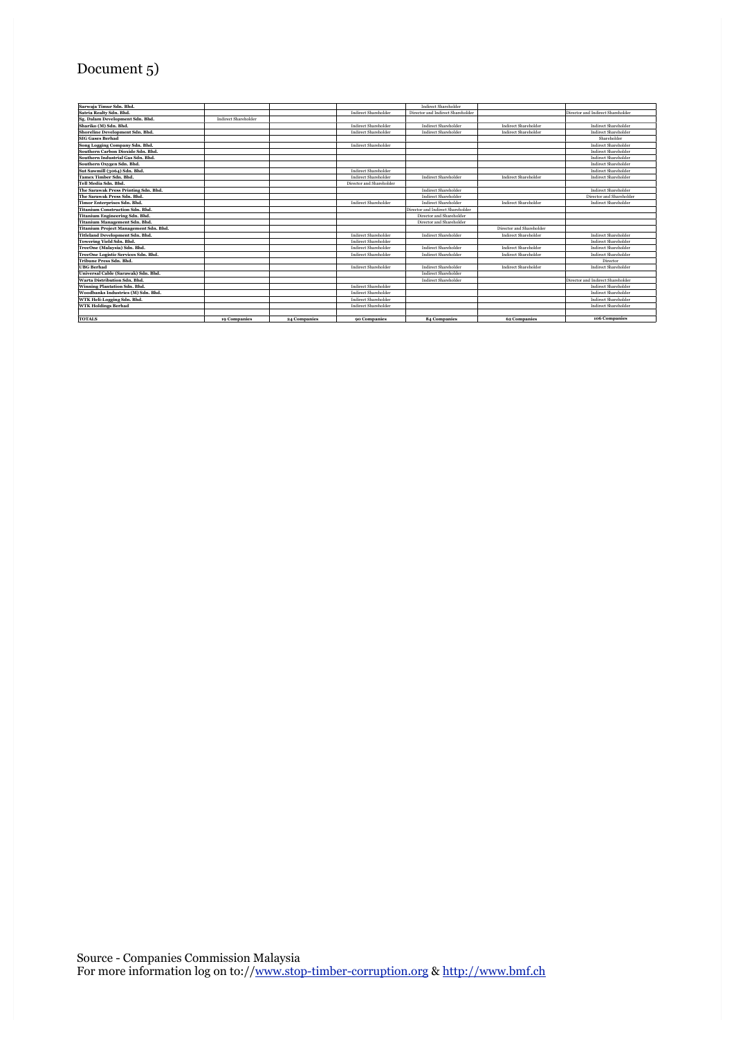# Document 5)

| Sarwaja Timur Sdn. Bhd.                |                      |              |                             | <b>Indirect Shareholder</b>       |                             |                                   |
|----------------------------------------|----------------------|--------------|-----------------------------|-----------------------------------|-----------------------------|-----------------------------------|
| Satria Realty Sdn. Bhd.                |                      |              | Indirect Shareholder        | Director and Indirect Shareholder |                             | Director and Indirect Shareholder |
| Sg. Dalam Development Sdn. Bhd.        | Indirect Shareholder |              |                             |                                   |                             |                                   |
| Shariko (M) Sdn. Bhd.                  |                      |              | Indirect Shareholder        | Indirect Shareholder              | <b>Indirect Shareholder</b> | <b>Indirect Shareholder</b>       |
| Shoreline Development Sdn. Bhd.        |                      |              | <b>Indirect Shareholder</b> | <b>Indirect Shareholder</b>       | <b>Indirect Shareholder</b> | <b>Indirect Shareholder</b>       |
| <b>SIG Gases Berhad</b>                |                      |              |                             |                                   |                             | Shareholder                       |
| Song Logging Company Sdn. Bhd.         |                      |              | <b>Indirect Shareholder</b> |                                   |                             | Indirect Shareholder              |
| Southern Carbon Dioxide Sdn. Bhd.      |                      |              |                             |                                   |                             | <b>Indirect Shareholder</b>       |
| Southern Industrial Gas Sdn. Bhd.      |                      |              |                             |                                   |                             | <b>Indirect Shareholder</b>       |
| Southern Oxygen Sdn. Bhd.              |                      |              |                             |                                   |                             | Indirect Shareholder              |
| Sut Sawmill (3064) Sdn. Bhd.           |                      |              | Indirect Shareholder        |                                   |                             | <b>Indirect Shareholder</b>       |
| Tamex Timber Sdn. Bhd.                 |                      |              | <b>Indirect Shareholder</b> | Indirect Shareholder              | Indirect Shareholder        | <b>Indirect Shareholder</b>       |
| Tell Media Sdn. Bhd.                   |                      |              | Director and Shareholder    |                                   |                             |                                   |
| The Sarawak Press Printing Sdn. Bhd.   |                      |              |                             | Indirect Shareholder              |                             | <b>Indirect Shareholder</b>       |
| The Sarawak Press Sdn. Bhd.            |                      |              |                             | Indirect Shareholder              |                             | Director and Shareholder          |
| Timor Enterprises Sdn. Bhd.            |                      |              | <b>Indirect Shareholder</b> | <b>Indirect Shareholder</b>       | <b>Indirect Shareholder</b> | <b>Indirect Shareholder</b>       |
| <b>Titanium Construction Sdn. Bhd.</b> |                      |              |                             | Director and Indirect Shareholder |                             |                                   |
| Titanium Engineering Sdn. Bhd.         |                      |              |                             | Director and Shareholder          |                             |                                   |
| <b>Titanium Management Sdn. Bhd.</b>   |                      |              |                             | Director and Shareholder          |                             |                                   |
| Titanium Project Management Sdn. Bhd.  |                      |              |                             |                                   | Director and Shareholder    |                                   |
| Titleland Development Sdn. Bhd.        |                      |              | <b>Indirect Shareholder</b> | Indirect Shareholder              | <b>Indirect Shareholder</b> | Indirect Shareholder              |
| Towering Yield Sdn. Bhd.               |                      |              | Indirect Shareholder        |                                   |                             | <b>Indirect Shareholder</b>       |
| TreeOne (Malaysia) Sdn. Bhd.           |                      |              | Indirect Shareholder        | Indirect Shareholder              | <b>Indirect Shareholder</b> | <b>Indirect Shareholder</b>       |
| TreeOne Logistic Services Sdn. Bhd.    |                      |              | <b>Indirect Shareholder</b> | Indirect Shareholder              | <b>Indirect Shareholder</b> | Indirect Shareholder              |
| <b>Tribune Press Sdn. Bhd.</b>         |                      |              |                             |                                   |                             | Director                          |
| <b>UBG Berhad</b>                      |                      |              | Indirect Shareholder        | Indirect Shareholder              | <b>Indirect Shareholder</b> | Indirect Shareholder              |
| Universal Cable (Sarawak) Sdn. Bhd.    |                      |              |                             | Indirect Shareholder              |                             |                                   |
| Warta Distribution Sdn. Bhd.           |                      |              |                             | <b>Indirect Shareholder</b>       |                             | Director and Indirect Shareholder |
| <b>Winning Plantation Sdn. Bhd.</b>    |                      |              | <b>Indirect Shareholder</b> |                                   |                             | <b>Indirect Shareholder</b>       |
| Woodbanks Industries (M) Sdn. Bhd.     |                      |              | Indirect Shareholder        |                                   |                             | <b>Indirect Shareholder</b>       |
| WTK Heli-Logging Sdn. Bhd.             |                      |              | Indirect Shareholder        |                                   |                             | <b>Indirect Shareholder</b>       |
| <b>WTK Holdings Berhad</b>             |                      |              | <b>Indirect Shareholder</b> |                                   |                             | <b>Indirect Shareholder</b>       |
|                                        |                      |              |                             |                                   |                             |                                   |
| <b>TOTALS</b>                          | 19 Companies         | 24 Companies | 90 Companies                | <b>84 Companies</b>               | <b>62 Companies</b>         | 106 Companies                     |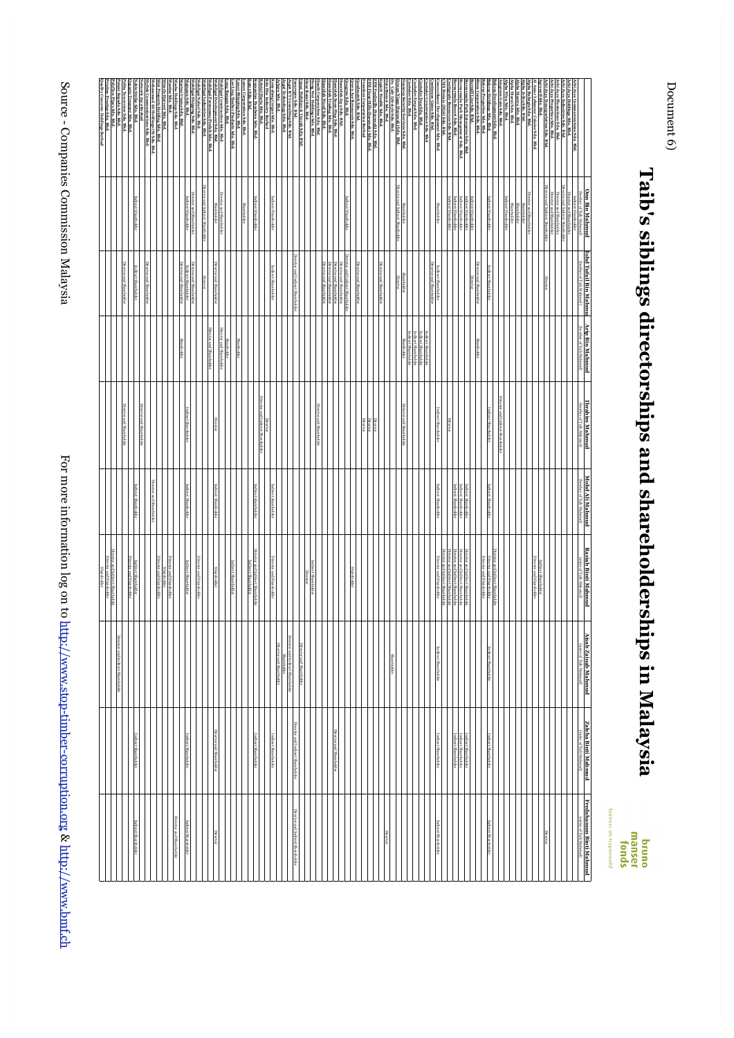For more information log on to http://www.stop-timber-corruption.org & http://www.bmf.ch http://www.stop-timber-corruption.org & http://www.bmf.ch

|                                                                                                                             | m Bin Mahmud                                                                          | <b>Bin</b><br>Manmu                                                              | <b>Arip Bin Mahmud</b>                     | brahim Mahmud                     | Mohd Ali Mahmud                                                      | <b>Raziah Binti Mahmud</b>                                                                                  |                                                  |                                                                      |                                                  |
|-----------------------------------------------------------------------------------------------------------------------------|---------------------------------------------------------------------------------------|----------------------------------------------------------------------------------|--------------------------------------------|-----------------------------------|----------------------------------------------------------------------|-------------------------------------------------------------------------------------------------------------|--------------------------------------------------|----------------------------------------------------------------------|--------------------------------------------------|
|                                                                                                                             |                                                                                       |                                                                                  |                                            | <b>OUT THE PARTITION</b>          | <b>Inother of Taib Mahmud</b>                                        | of Taib Mahmud)                                                                                             | Aisah Zainab Mahmud<br>(ssee of Taib Mahmud)     | Zaleha Binti Mahmud<br>GisterofTab Mahmul)                           | Fredahanum Binti Mahmud<br>Gister of Taib Mahmud |
| chi Jaya Communications Sdn. Bhd.                                                                                           | ndirect Shareholder                                                                   |                                                                                  |                                            |                                   |                                                                      |                                                                                                             |                                                  |                                                                      |                                                  |
|                                                                                                                             | Director and Sharchokler<br>rector and Indirect Sharchold<br>Director and Sharchokler |                                                                                  |                                            |                                   |                                                                      |                                                                                                             |                                                  |                                                                      |                                                  |
| hi Jaya Holdings Sdn. Bhd.<br>hi Jaya Industries Sdn. Bhd.<br>hi Jaya Plantations Sdn. Bhd.<br>hi Jaya Properties Sdn. Bhd. |                                                                                       |                                                                                  |                                            |                                   |                                                                      |                                                                                                             |                                                  |                                                                      |                                                  |
|                                                                                                                             | Director and Indirect Shareholder<br><b>Shareholder</b>                               |                                                                                  |                                            |                                   |                                                                      |                                                                                                             |                                                  |                                                                      | <b>Director</b>                                  |
| hi Jaya Transportation Sdn. Bhd.<br>.rowell Sdn. Bhd.                                                                       |                                                                                       |                                                                                  |                                            |                                   |                                                                      | <b>Sina</b>                                                                                                 |                                                  |                                                                      |                                                  |
| lpha Bahagia Sdn. Bhd.<br>chanese Cuisine Sdn. Bhd                                                                          | Director and Sharchokler                                                              |                                                                                  |                                            |                                   |                                                                      |                                                                                                             |                                                  |                                                                      |                                                  |
|                                                                                                                             |                                                                                       |                                                                                  |                                            |                                   |                                                                      |                                                                                                             |                                                  |                                                                      |                                                  |
| Alpha Jelita Sdn. Bld.<br>Alpha Mantra Sdn. Bld.<br>Alpha Murni Sdn. Bhd.                                                   | Sharchokler<br>Sharchoker<br>Sharchoker                                               |                                                                                  |                                            |                                   |                                                                      |                                                                                                             |                                                  |                                                                      |                                                  |
|                                                                                                                             | <b>Indirect Shareholder</b>                                                           |                                                                                  |                                            |                                   |                                                                      |                                                                                                             |                                                  |                                                                      |                                                  |
|                                                                                                                             |                                                                                       |                                                                                  |                                            | Director and Indirect Shareholder |                                                                      |                                                                                                             |                                                  |                                                                      |                                                  |
| Alpha Wira Sdn. Bhd.<br>Amgreen Gain Sdn. Bhd.<br>Bakraz Development Sdn. Bhd.<br>Bakraz Holdings Sdn. Bhd.                 | Indirect Shareholder                                                                  | ndirect Shareholder                                                              |                                            | Indirect Shareholder              | Indirect Shareholder                                                 | inector and Indirect Shareholder<br><b>JIFector</b><br>and Shareholder                                      | Indirect Shareholder                             | Indirect Shareholder                                                 | Indirect Shareholder                             |
|                                                                                                                             |                                                                                       |                                                                                  |                                            |                                   |                                                                      | Director and Sharehokler                                                                                    |                                                  |                                                                      |                                                  |
| akraz Properties Sdn. Bhd.<br>inta Corporation Sdn. Bhd.<br>ormill Line Sdn. Bbd.                                           | Indirect Shareholder                                                                  | <b>DIRECT</b><br>and Shareholder                                                 |                                            |                                   |                                                                      |                                                                                                             |                                                  |                                                                      |                                                  |
| armulu Park Enterprise Sdn. Bhd.                                                                                            | ndirect Shareholder                                                                   | Director                                                                         |                                            |                                   |                                                                      | birector and Indirect Shareholder                                                                           |                                                  |                                                                      |                                                  |
|                                                                                                                             |                                                                                       |                                                                                  |                                            |                                   | Indirect Sharcholder<br>Indirect Sharcholder<br>Indirect Sharcholder |                                                                                                             |                                                  | Indirect Shareholder<br>Indirect Shareholder<br>Indirect Shareholder |                                                  |
| sarımılı Park Management Sdn. Bhd.<br>Sarımılı Resort Sdn. Bhl.<br>tiğrade Resources Sdn. Bhl.                              | Indirect Sharcholder<br>Indirect Sharcholder<br>Indirect Sharcholder                  |                                                                                  |                                            | <b>PIRKKIO</b>                    |                                                                      | Director and Indirect Shareholder<br>Director and Indirect Shareholder<br>Director and Indirect Shareholder |                                                  |                                                                      |                                                  |
| <b>S Premix (Miri) Sdn. Bhd.</b>                                                                                            |                                                                                       |                                                                                  |                                            |                                   |                                                                      | Director and Indirect Shareholder<br>Director and Shareholder                                               | Indirect Shareholder                             | Indirect Shareholder                                                 | <b>Indirect Shareholder</b>                      |
| neordanee Development Sdn. Bhd.<br>ntinuos Gains Sdn. Bhd.                                                                  | <b>Sharehokler</b>                                                                    | Direc<br>Indirect Shareholder<br>rector and Shareholder                          |                                            | Indirect Shareholder              | Indirect Shareholder                                                 |                                                                                                             |                                                  |                                                                      |                                                  |
| todev Construction Sdn. Bhd                                                                                                 |                                                                                       |                                                                                  | ndirect Shareholder                        |                                   |                                                                      |                                                                                                             |                                                  |                                                                      |                                                  |
| dev Dua Sdn. Bhd.<br>dev Empat Sdn. Bhd                                                                                     |                                                                                       |                                                                                  | ndirect Sharehokler<br>ndirect Sharehokler |                                   |                                                                      |                                                                                                             |                                                  |                                                                      |                                                  |
|                                                                                                                             | Sharehokler                                                                           | <b>Shareholder</b>                                                               | <b>Shareholder</b><br>Shareholder          | Director and Shareholder          |                                                                      |                                                                                                             |                                                  |                                                                      |                                                  |
| acop Security Services Sdn. Bld.                                                                                            | nd Indirect Shareholder                                                               |                                                                                  |                                            |                                   |                                                                      |                                                                                                             |                                                  |                                                                      |                                                  |
| . Cafe Lifestyle Sdn.<br>ta Bistari Sdn. Bhd.<br>wan Niaga (Sarawak) Sdn. Bhd.<br>. Cafe Lifestyle Sdn. Bhd.                |                                                                                       |                                                                                  |                                            |                                   |                                                                      |                                                                                                             | <b>Shareholder</b>                               |                                                                      | <b>Director</b>                                  |
| pirit Wealth Sdn. Bhd.                                                                                                      |                                                                                       | Director and Shareholder                                                         |                                            |                                   |                                                                      |                                                                                                             |                                                  |                                                                      |                                                  |
| 'M Feedmills (Sarawak) Sdn. Bhd.<br>FM Flour Mills (Sarawak) Sdn. Bhd.                                                      |                                                                                       |                                                                                  |                                            | Director                          |                                                                      |                                                                                                             |                                                  |                                                                      |                                                  |
| tken Corporation Berhad                                                                                                     |                                                                                       |                                                                                  |                                            | Director<br>Director              |                                                                      |                                                                                                             |                                                  |                                                                      |                                                  |
| dmatch Sdn. Bhd.                                                                                                            |                                                                                       | Director and Shareholder                                                         |                                            |                                   |                                                                      |                                                                                                             |                                                  |                                                                      |                                                  |
| en Ace Resources Sdn. Bhd<br>1grow Sdn. Bhd.                                                                                | ndirect Shareholder                                                                   | and Indirect Shareholde                                                          |                                            |                                   |                                                                      |                                                                                                             |                                                  |                                                                      |                                                  |
| ndah Jaya Sdn. Bhd.                                                                                                         |                                                                                       | Director and Shareholder                                                         |                                            |                                   |                                                                      |                                                                                                             |                                                  | Director and Sharehokler                                             |                                                  |
| famidah Soon-Hup Sdn. Bhd.<br>famidah Trading Sdn. Bhd.<br>famidah Wood Sdn. Bhd.                                           |                                                                                       | Director and Shareholder<br>Director and Shareholder<br>Director and Shareholder |                                            |                                   |                                                                      |                                                                                                             |                                                  |                                                                      |                                                  |
| nib Corporation Sdn. Bld.                                                                                                   |                                                                                       |                                                                                  |                                            | <b>Director and Shareholder</b>   |                                                                      |                                                                                                             |                                                  |                                                                      |                                                  |
| ang Wei Holdings Sdn. Bhd.                                                                                                  |                                                                                       |                                                                                  |                                            |                                   |                                                                      | Indirect Shareholder                                                                                        |                                                  |                                                                      |                                                  |
| an Holidays & Umrah Sdn. Bhd.<br>ar Bumi Sdn. Bhd                                                                           |                                                                                       |                                                                                  |                                            |                                   |                                                                      |                                                                                                             | Director and Shareholder                         |                                                                      |                                                  |
| arepro Sdn. Bhd.                                                                                                            |                                                                                       | Director and Indirect Shareholder                                                |                                            |                                   |                                                                      |                                                                                                             |                                                  | Director and Indirect Shareholder                                    | Director and Indirect Shareholder                |
|                                                                                                                             |                                                                                       |                                                                                  |                                            |                                   |                                                                      |                                                                                                             | Director and Indirect Shareholder<br>Shareholder |                                                                      |                                                  |
| ura Sdin. Bhd                                                                                                               | Indirect Shareholder                                                                  | <b>Indirect Shareholder</b>                                                      |                                            |                                   | Indirect shareholder                                                 | <b>Micctor</b> and Shareholder                                                                              | Director and Shareholder                         |                                                                      |                                                  |
| Kenyalang Cergas Sdn. Bbd.<br>Kim Hin Industry Berhad<br>Gristal Harta Sdn. Bhd.                                            |                                                                                       |                                                                                  |                                            |                                   |                                                                      |                                                                                                             |                                                  | Indirect Shareholder                                                 |                                                  |
| mpulan Parabena Sdn. Bhd.                                                                                                   | Indirect Shareholder                                                                  |                                                                                  |                                            | Direc<br>: Shareh<br>iokle        | Indirect shareholder                                                 | Director and Indirect Shareholder                                                                           |                                                  | Indirect Shareholder                                                 |                                                  |
| ex Sdn. Bhd.                                                                                                                |                                                                                       |                                                                                  |                                            |                                   |                                                                      | ndirect Shareholder                                                                                         |                                                  |                                                                      |                                                  |
| 100 Corporation Sdn. Bhd.<br>100 Shipping Sdn. Bhd.                                                                         | <b>Shareholder</b>                                                                    |                                                                                  | <b>Shareholder</b>                         |                                   |                                                                      |                                                                                                             |                                                  |                                                                      |                                                  |
| ee Ling Timber Products S dn. B hd.<br>ong Bangan Sdn. B hd.                                                                |                                                                                       |                                                                                  |                                            |                                   |                                                                      | Indirect Shareholder                                                                                        |                                                  |                                                                      |                                                  |
| iligai Construction Sdn. Bhd.                                                                                               | Director and Sharchokler                                                              |                                                                                  | Shareholder<br>Director and Shareholder    |                                   |                                                                      |                                                                                                             |                                                  |                                                                      |                                                  |
| igai Development Sdn. Bhd                                                                                                   | Sharehokler                                                                           | Director<br>and Shareholder                                                      | and Shareholder                            | Director                          | Shareholder                                                          | <b>Shareholder</b>                                                                                          |                                                  | Director and Shareholder                                             | Director                                         |
| hligai Formsone Prefah Sdn. Bhd.<br>hligai Industries Sdn. Bhd.<br>hligai Naluri Sdn. Bhd.                                  | Director and Indirect Shareholder                                                     | <b>STREET</b>                                                                    |                                            |                                   |                                                                      |                                                                                                             |                                                  |                                                                      |                                                  |
| hligai Shipping Sdn. Bhd                                                                                                    | Director and Sharehokler                                                              | <b>Jirector</b><br>and Shareholder                                               |                                            |                                   |                                                                      | Director and Shareholder                                                                                    |                                                  |                                                                      |                                                  |
| upun Sdn. Bhd.                                                                                                              | Indirect Shareholder                                                                  | Indirect Shareholder<br>rector and Shareholder                                   |                                            | Indirect Shareholder              | Indirect Shareholder                                                 | Indirect Shareholder                                                                                        |                                                  | Indirect Shareholder                                                 | <b>Indirect Shareholder</b>                      |
| sba Holdings Sdn. Bhd.<br>ne Utama Sdn. Bhd                                                                                 |                                                                                       |                                                                                  |                                            |                                   |                                                                      |                                                                                                             |                                                  |                                                                      | Director and Shareholder                         |
| stim Sdn. Bhd.                                                                                                              |                                                                                       |                                                                                  |                                            |                                   |                                                                      | Director and Shareholder                                                                                    |                                                  |                                                                      |                                                  |
| tracle Harvest Sdn. Bhd.<br>ri Property Holding Sdn. Bhd.                                                                   |                                                                                       |                                                                                  |                                            |                                   |                                                                      | Sharehokler<br>Director and Sharehokler                                                                     |                                                  |                                                                      |                                                  |
| ammad Ali Holdings (S) Sdn. Bhd.                                                                                            |                                                                                       | Director<br>and Shareholder                                                      |                                            |                                   | Director<br>and Sharehokler                                          |                                                                                                             |                                                  |                                                                      |                                                  |
| lylink Communications Sdn. Bhd.<br>etwork Jaya Berhad<br>oble Strike Sdn. Bhd.                                              |                                                                                       |                                                                                  |                                            |                                   |                                                                      |                                                                                                             |                                                  |                                                                      |                                                  |
|                                                                                                                             | Indirect Shareholder                                                                  | t Shan                                                                           |                                            |                                   | ndirect Shareholder                                                  | Director and Shareholder<br>ndirect Shareholder                                                             |                                                  | Indirect Shareholder                                                 | <b>Indirect Shareholder</b>                      |
| )rgante Treasure Sdn. Bhd.<br>Nita Towerview Sdn. Bhd.<br>Nokflow Pipes Sdn. Bhd.                                           |                                                                                       |                                                                                  |                                            |                                   |                                                                      |                                                                                                             | Director and Indirect Shareholder                |                                                                      |                                                  |
|                                                                                                                             |                                                                                       |                                                                                  |                                            |                                   |                                                                      | Miector and Indirect Shareholder                                                                            |                                                  |                                                                      |                                                  |
| Quality Concrete Holdings Berhad<br>istine Prestige Sdn. Bhd.                                                               |                                                                                       |                                                                                  |                                            |                                   |                                                                      | Director and Sharehokler<br><b>Shareholder</b>                                                              |                                                  |                                                                      |                                                  |
|                                                                                                                             |                                                                                       |                                                                                  |                                            |                                   |                                                                      |                                                                                                             |                                                  |                                                                      |                                                  |

Document 6) Document 6)

fairness im tropenwald bruno<br>manser<br>fonds

**Taib's siblings directorships and shareholderships in Malaysia** 

Taib's siblings directorships and shareholderships in Malaysia